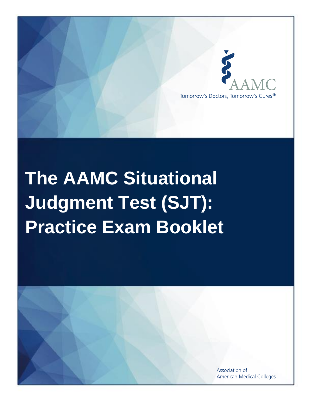

# **The AAMC Situational Judgment Test (SJT): Practice Exam Booklet**

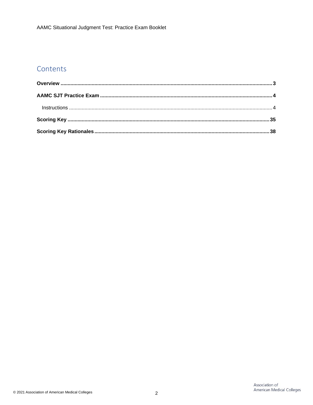## Contents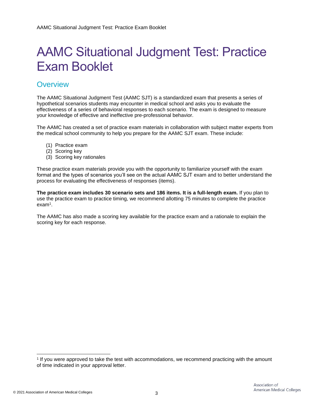# AAMC Situational Judgment Test: Practice Exam Booklet

### <span id="page-2-0"></span>**Overview**

The AAMC Situational Judgment Test (AAMC SJT) is a standardized exam that presents a series of hypothetical scenarios students may encounter in medical school and asks you to evaluate the effectiveness of a series of behavioral responses to each scenario. The exam is designed to measure your knowledge of effective and ineffective pre-professional behavior.

The AAMC has created a set of practice exam materials in collaboration with subject matter experts from the medical school community to help you prepare for the AAMC SJT exam. These include:

- (1) Practice exam
- (2) Scoring key
- (3) Scoring key rationales

These practice exam materials provide you with the opportunity to familiarize yourself with the exam format and the types of scenarios you'll see on the actual AAMC SJT exam and to better understand the process for evaluating the effectiveness of responses (items).

**The practice exam includes 30 scenario sets and 186 items. It is a full-length exam.** If you plan to use the practice exam to practice timing, we recommend allotting 75 minutes to complete the practice exam<sup>1</sup> .

The AAMC has also made a scoring key available for the practice exam and a rationale to explain the scoring key for each response.

<sup>1</sup> If you were approved to take the test with accommodations, we recommend practicing with the amount of time indicated in your approval letter.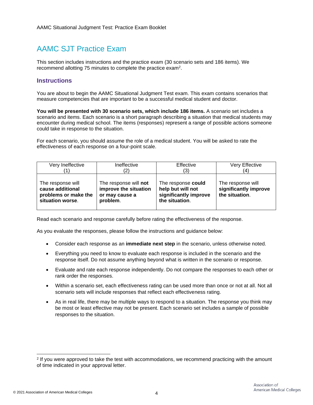# <span id="page-3-0"></span>AAMC SJT Practice Exam

This section includes instructions and the practice exam (30 scenario sets and 186 items). We recommend allotting 75 minutes to complete the practice exam<sup>2</sup>.

#### <span id="page-3-1"></span>**Instructions**

You are about to begin the AAMC Situational Judgment Test exam. This exam contains scenarios that measure competencies that are important to be a successful medical student and doctor.

**You will be presented with 30 scenario sets, which include 186 items.** A scenario set includes a scenario and items. Each scenario is a short paragraph describing a situation that medical students may encounter during medical school. The items (responses) represent a range of possible actions someone could take in response to the situation.

For each scenario, you should assume the role of a medical student. You will be asked to rate the effectiveness of each response on a four-point scale.

| Very Ineffective                                                                  | Ineffective                                                                  | Effective                                                                          | Very Effective                                               |
|-----------------------------------------------------------------------------------|------------------------------------------------------------------------------|------------------------------------------------------------------------------------|--------------------------------------------------------------|
|                                                                                   | 2)                                                                           | (3)                                                                                | '4)                                                          |
| The response will<br>cause additional<br>problems or make the<br>situation worse. | The response will not<br>improve the situation<br>or may cause a<br>problem. | The response could<br>help but will not<br>significantly improve<br>the situation. | The response will<br>significantly improve<br>the situation. |

Read each scenario and response carefully before rating the effectiveness of the response.

As you evaluate the responses, please follow the instructions and guidance below:

- Consider each response as an **immediate next step** in the scenario, unless otherwise noted.
- Everything you need to know to evaluate each response is included in the scenario and the response itself. Do not assume anything beyond what is written in the scenario or response.
- Evaluate and rate each response independently. Do not compare the responses to each other or rank order the responses.
- Within a scenario set, each effectiveness rating can be used more than once or not at all. Not all scenario sets will include responses that reflect each effectiveness rating.
- As in real life, there may be multiple ways to respond to a situation. The response you think may be most or least effective may not be present. Each scenario set includes a sample of possible responses to the situation.

<sup>&</sup>lt;sup>2</sup> If you were approved to take the test with accommodations, we recommend practicing with the amount of time indicated in your approval letter.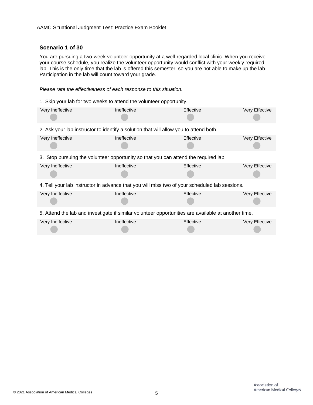#### **Scenario 1 of 30**

You are pursuing a two-week volunteer opportunity at a well-regarded local clinic. When you receive your course schedule, you realize the volunteer opportunity would conflict with your weekly required lab. This is the only time that the lab is offered this semester, so you are not able to make up the lab. Participation in the lab will count toward your grade.

#### *Please rate the effectiveness of each response to this situation.*

1. Skip your lab for two weeks to attend the volunteer opportunity.

| Very Ineffective                                                                                    | Ineffective | Effective | Very Effective |  |
|-----------------------------------------------------------------------------------------------------|-------------|-----------|----------------|--|
| 2. Ask your lab instructor to identify a solution that will allow you to attend both.               |             |           |                |  |
| Very Ineffective                                                                                    | Ineffective | Effective | Very Effective |  |
| 3. Stop pursuing the volunteer opportunity so that you can attend the required lab.                 |             |           |                |  |
| Very Ineffective                                                                                    | Ineffective | Effective | Very Effective |  |
| 4. Tell your lab instructor in advance that you will miss two of your scheduled lab sessions.       |             |           |                |  |
| Very Ineffective                                                                                    | Ineffective | Effective | Very Effective |  |
| 5. Attend the lab and investigate if similar volunteer opportunities are available at another time. |             |           |                |  |
| Very Ineffective                                                                                    | Ineffective | Effective | Very Effective |  |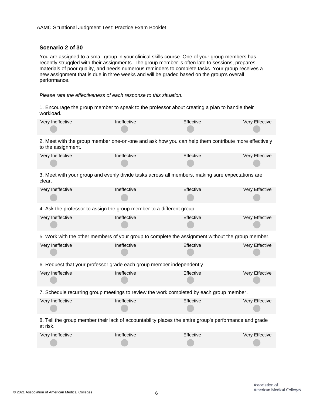#### **Scenario 2 of 30**

You are assigned to a small group in your clinical skills course. One of your group members has recently struggled with their assignments. The group member is often late to sessions, prepares materials of poor quality, and needs numerous reminders to complete tasks. Your group receives a new assignment that is due in three weeks and will be graded based on the group's overall performance.

#### *Please rate the effectiveness of each response to this situation.*

1. Encourage the group member to speak to the professor about creating a plan to handle their workload.

| Very Ineffective                                                                                                         | Ineffective | Effective | Very Effective |
|--------------------------------------------------------------------------------------------------------------------------|-------------|-----------|----------------|
| 2. Meet with the group member one-on-one and ask how you can help them contribute more effectively<br>to the assignment. |             |           |                |
| Very Ineffective                                                                                                         | Ineffective | Effective | Very Effective |
| 3. Meet with your group and evenly divide tasks across all members, making sure expectations are<br>clear.               |             |           |                |
| Very Ineffective                                                                                                         | Ineffective | Effective | Very Effective |
| 4. Ask the professor to assign the group member to a different group.                                                    |             |           |                |
| Very Ineffective                                                                                                         | Ineffective | Effective | Very Effective |
| 5. Work with the other members of your group to complete the assignment without the group member.                        |             |           |                |
| Very Ineffective                                                                                                         | Ineffective | Effective | Very Effective |
| 6. Request that your professor grade each group member independently.                                                    |             |           |                |
| Very Ineffective                                                                                                         | Ineffective | Effective | Very Effective |
| 7. Schedule recurring group meetings to review the work completed by each group member.                                  |             |           |                |
| Very Ineffective                                                                                                         | Ineffective | Effective | Very Effective |
| 8. Tell the group member their lack of accountability places the entire group's performance and grade<br>at risk.        |             |           |                |
| Very Ineffective                                                                                                         | Ineffective | Effective | Very Effective |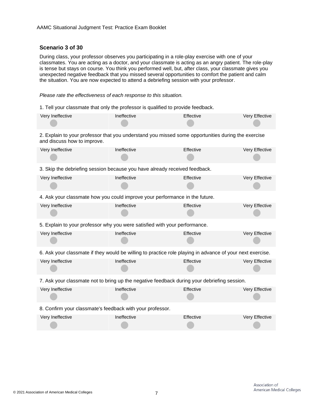#### **Scenario 3 of 30**

During class, your professor observes you participating in a role-play exercise with one of your classmates. You are acting as a doctor, and your classmate is acting as an angry patient. The role-play is tense but stays on course. You think you performed well, but, after class, your classmate gives you unexpected negative feedback that you missed several opportunities to comfort the patient and calm the situation. You are now expected to attend a debriefing session with your professor.

#### *Please rate the effectiveness of each response to this situation.*

1. Tell your classmate that only the professor is qualified to provide feedback.

| Very Ineffective                                                                                                                  | Ineffective                                                                | Effective | Very Effective |  |  |
|-----------------------------------------------------------------------------------------------------------------------------------|----------------------------------------------------------------------------|-----------|----------------|--|--|
| 2. Explain to your professor that you understand you missed some opportunities during the exercise<br>and discuss how to improve. |                                                                            |           |                |  |  |
| Very Ineffective                                                                                                                  | Ineffective                                                                | Effective | Very Effective |  |  |
| 3. Skip the debriefing session because you have already received feedback.                                                        |                                                                            |           |                |  |  |
| Very Ineffective                                                                                                                  | Ineffective                                                                | Effective | Very Effective |  |  |
| 4. Ask your classmate how you could improve your performance in the future.                                                       |                                                                            |           |                |  |  |
| Very Ineffective                                                                                                                  | Ineffective                                                                | Effective | Very Effective |  |  |
|                                                                                                                                   | 5. Explain to your professor why you were satisfied with your performance. |           |                |  |  |
| Very Ineffective                                                                                                                  | Ineffective                                                                | Effective | Very Effective |  |  |
| 6. Ask your classmate if they would be willing to practice role playing in advance of your next exercise.                         |                                                                            |           |                |  |  |
| Very Ineffective                                                                                                                  | Ineffective                                                                | Effective | Very Effective |  |  |
| 7. Ask your classmate not to bring up the negative feedback during your debriefing session.                                       |                                                                            |           |                |  |  |
| Very Ineffective                                                                                                                  | Ineffective                                                                | Effective | Very Effective |  |  |
| 8. Confirm your classmate's feedback with your professor.                                                                         |                                                                            |           |                |  |  |
| Very Ineffective                                                                                                                  | Ineffective                                                                | Effective | Very Effective |  |  |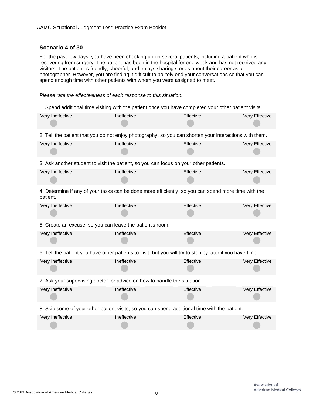#### **Scenario 4 of 30**

For the past few days, you have been checking up on several patients, including a patient who is recovering from surgery. The patient has been in the hospital for one week and has not received any visitors. The patient is friendly, cheerful, and enjoys sharing stories about their career as a photographer. However, you are finding it difficult to politely end your conversations so that you can spend enough time with other patients with whom you were assigned to meet.

#### *Please rate the effectiveness of each response to this situation.*

1. Spend additional time visiting with the patient once you have completed your other patient visits.

| Very Ineffective                                                                                                | Ineffective | Effective | Very Effective |
|-----------------------------------------------------------------------------------------------------------------|-------------|-----------|----------------|
| 2. Tell the patient that you do not enjoy photography, so you can shorten your interactions with them.          |             |           |                |
| Very Ineffective                                                                                                | Ineffective | Effective | Very Effective |
| 3. Ask another student to visit the patient, so you can focus on your other patients.                           |             |           |                |
| Very Ineffective                                                                                                | Ineffective | Effective | Very Effective |
| 4. Determine if any of your tasks can be done more efficiently, so you can spend more time with the<br>patient. |             |           |                |
| Very Ineffective                                                                                                | Ineffective | Effective | Very Effective |
| 5. Create an excuse, so you can leave the patient's room.                                                       |             |           |                |
| Very Ineffective                                                                                                | Ineffective | Effective | Very Effective |
| 6. Tell the patient you have other patients to visit, but you will try to stop by later if you have time.       |             |           |                |
| Very Ineffective                                                                                                | Ineffective | Effective | Very Effective |
| 7. Ask your supervising doctor for advice on how to handle the situation.                                       |             |           |                |
| Very Ineffective                                                                                                | Ineffective | Effective | Very Effective |
| 8. Skip some of your other patient visits, so you can spend additional time with the patient.                   |             |           |                |
| Very Ineffective                                                                                                | Ineffective | Effective | Very Effective |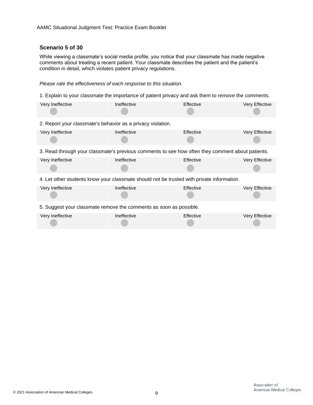#### **Scenario 5 of 30**

While viewing a classmate's social media profile, you notice that your classmate has made negative comments about treating a recent patient. Your classmate describes the patient and the patient's condition in detail, which violates patient privacy regulations.

*Please rate the effectiveness of each response to this situation.*

1. Explain to your classmate the importance of patient privacy and ask them to remove the comments.

| Very Ineffective                                                                                 | Ineffective | Effective | Very Effective |
|--------------------------------------------------------------------------------------------------|-------------|-----------|----------------|
| 2. Report your classmate's behavior as a privacy violation.                                      |             |           |                |
| Very Ineffective                                                                                 | Ineffective | Effective | Very Effective |
| 3. Read through your classmate's previous comments to see how often they comment about patients. |             |           |                |
| Very Ineffective                                                                                 | Ineffective | Effective | Very Effective |
| 4. Let other students know your classmate should not be trusted with private information.        |             |           |                |
| Very Ineffective                                                                                 | Ineffective | Effective | Very Effective |
| 5. Suggest your classmate remove the comments as soon as possible.                               |             |           |                |
| Very Ineffective                                                                                 | Ineffective | Effective | Very Effective |
|                                                                                                  |             |           |                |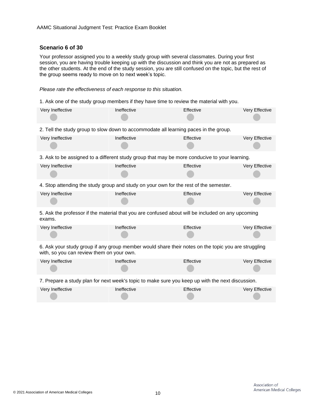#### **Scenario 6 of 30**

Your professor assigned you to a weekly study group with several classmates. During your first session, you are having trouble keeping up with the discussion and think you are not as prepared as the other students. At the end of the study session, you are still confused on the topic, but the rest of the group seems ready to move on to next week's topic.

#### *Please rate the effectiveness of each response to this situation.*

1. Ask one of the study group members if they have time to review the material with you.

| Very Ineffective                                                                                                                                 | Ineffective | Effective | Very Effective |
|--------------------------------------------------------------------------------------------------------------------------------------------------|-------------|-----------|----------------|
| 2. Tell the study group to slow down to accommodate all learning paces in the group.                                                             |             |           |                |
| Very Ineffective                                                                                                                                 | Ineffective | Effective | Very Effective |
| 3. Ask to be assigned to a different study group that may be more conducive to your learning.                                                    |             |           |                |
| Very Ineffective                                                                                                                                 | Ineffective | Effective | Very Effective |
| 4. Stop attending the study group and study on your own for the rest of the semester.                                                            |             |           |                |
| Very Ineffective                                                                                                                                 | Ineffective | Effective | Very Effective |
| 5. Ask the professor if the material that you are confused about will be included on any upcoming<br>exams.                                      |             |           |                |
| Very Ineffective                                                                                                                                 | Ineffective | Effective | Very Effective |
| 6. Ask your study group if any group member would share their notes on the topic you are struggling<br>with, so you can review them on your own. |             |           |                |
| Very Ineffective                                                                                                                                 | Ineffective | Effective | Very Effective |
| 7. Prepare a study plan for next week's topic to make sure you keep up with the next discussion.                                                 |             |           |                |
| Very Ineffective                                                                                                                                 | Ineffective | Effective | Very Effective |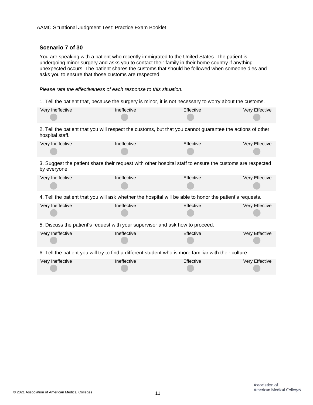#### **Scenario 7 of 30**

You are speaking with a patient who recently immigrated to the United States. The patient is undergoing minor surgery and asks you to contact their family in their home country if anything unexpected occurs. The patient shares the customs that should be followed when someone dies and asks you to ensure that those customs are respected.

#### *Please rate the effectiveness of each response to this situation.*

1. Tell the patient that, because the surgery is minor, it is not necessary to worry about the customs.

| Very Ineffective | Ineffective | <b>Effective</b> | Very Effective |
|------------------|-------------|------------------|----------------|
|                  |             |                  |                |

2. Tell the patient that you will respect the customs, but that you cannot guarantee the actions of other hospital staff.

| Very Ineffective | Ineffective | Effective | Very Effective |
|------------------|-------------|-----------|----------------|
|                  |             |           |                |

3. Suggest the patient share their request with other hospital staff to ensure the customs are respected by everyone.

| Very Ineffective | Ineffective | <b>Effective</b> | Very Effective |
|------------------|-------------|------------------|----------------|
|                  |             |                  |                |

4. Tell the patient that you will ask whether the hospital will be able to honor the patient's requests.

| Very Ineffective | <b>Ineffective</b> | Effective | Very Effective |
|------------------|--------------------|-----------|----------------|
|                  |                    |           |                |

5. Discuss the patient's request with your supervisor and ask how to proceed.

Very Ineffective The Ineffective Ineffective Effective Effective Very Effective

6. Tell the patient you will try to find a different student who is more familiar with their culture.

| Very Ineffective | Ineffective | Effective | Very Effective |
|------------------|-------------|-----------|----------------|
|                  |             |           |                |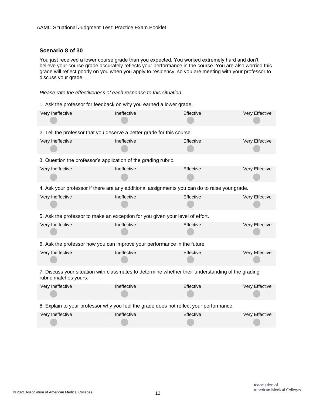#### **Scenario 8 of 30**

You just received a lower course grade than you expected. You worked extremely hard and don't believe your course grade accurately reflects your performance in the course. You are also worried this grade will reflect poorly on you when you apply to residency, so you are meeting with your professor to discuss your grade.

*Please rate the effectiveness of each response to this situation.*

1. Ask the professor for feedback on why you earned a lower grade.

| Very Ineffective                                                                                                           | Ineffective | Effective | Very Effective |
|----------------------------------------------------------------------------------------------------------------------------|-------------|-----------|----------------|
| 2. Tell the professor that you deserve a better grade for this course.                                                     |             |           |                |
| Very Ineffective                                                                                                           | Ineffective | Effective | Very Effective |
| 3. Question the professor's application of the grading rubric.                                                             |             |           |                |
| Very Ineffective                                                                                                           | Ineffective | Effective | Very Effective |
| 4. Ask your professor if there are any additional assignments you can do to raise your grade.                              |             |           |                |
| Very Ineffective                                                                                                           | Ineffective | Effective | Very Effective |
| 5. Ask the professor to make an exception for you given your level of effort.                                              |             |           |                |
| Very Ineffective                                                                                                           | Ineffective | Effective | Very Effective |
| 6. Ask the professor how you can improve your performance in the future.                                                   |             |           |                |
| Very Ineffective                                                                                                           | Ineffective | Effective | Very Effective |
| 7. Discuss your situation with classmates to determine whether their understanding of the grading<br>rubric matches yours. |             |           |                |
| Very Ineffective                                                                                                           | Ineffective | Effective | Very Effective |
| 8. Explain to your professor why you feel the grade does not reflect your performance.                                     |             |           |                |
| Very Ineffective                                                                                                           | Ineffective | Effective | Very Effective |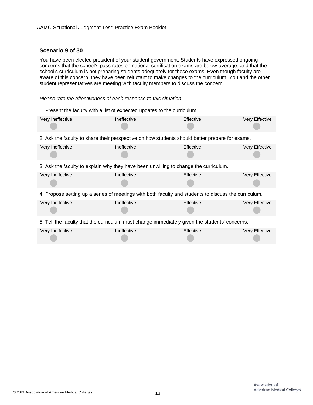#### **Scenario 9 of 30**

You have been elected president of your student government. Students have expressed ongoing concerns that the school's pass rates on national certification exams are below average, and that the school's curriculum is not preparing students adequately for these exams. Even though faculty are aware of this concern, they have been reluctant to make changes to the curriculum. You and the other student representatives are meeting with faculty members to discuss the concern.

*Please rate the effectiveness of each response to this situation.*

1. Present the faculty with a list of expected updates to the curriculum.

| Very Ineffective                                                                                     | Ineffective | Effective | Very Effective |  |
|------------------------------------------------------------------------------------------------------|-------------|-----------|----------------|--|
| 2. Ask the faculty to share their perspective on how students should better prepare for exams.       |             |           |                |  |
| Very Ineffective                                                                                     | Ineffective | Effective | Very Effective |  |
| 3. Ask the faculty to explain why they have been unwilling to change the curriculum.                 |             |           |                |  |
| Very Ineffective                                                                                     | Ineffective | Effective | Very Effective |  |
|                                                                                                      |             |           |                |  |
| 4. Propose setting up a series of meetings with both faculty and students to discuss the curriculum. |             |           |                |  |
| Very Ineffective                                                                                     | Ineffective | Effective | Very Effective |  |
| 5. Tell the faculty that the curriculum must change immediately given the students' concerns.        |             |           |                |  |
| Very Ineffective                                                                                     | Ineffective | Effective | Very Effective |  |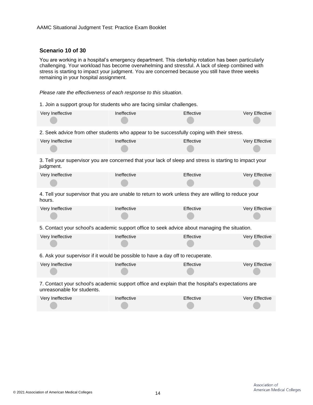#### **Scenario 10 of 30**

You are working in a hospital's emergency department. This clerkship rotation has been particularly challenging. Your workload has become overwhelming and stressful. A lack of sleep combined with stress is starting to impact your judgment. You are concerned because you still have three weeks remaining in your hospital assignment.

*Please rate the effectiveness of each response to this situation.*

1. Join a support group for students who are facing similar challenges.

| Very Ineffective                                                                                                                | Ineffective | Effective | Very Effective |  |
|---------------------------------------------------------------------------------------------------------------------------------|-------------|-----------|----------------|--|
| 2. Seek advice from other students who appear to be successfully coping with their stress.                                      |             |           |                |  |
| Very Ineffective                                                                                                                | Ineffective | Effective | Very Effective |  |
| 3. Tell your supervisor you are concerned that your lack of sleep and stress is starting to impact your<br>judgment.            |             |           |                |  |
| Very Ineffective                                                                                                                | Ineffective | Effective | Very Effective |  |
| 4. Tell your supervisor that you are unable to return to work unless they are willing to reduce your<br>hours.                  |             |           |                |  |
| Very Ineffective                                                                                                                | Ineffective | Effective | Very Effective |  |
| 5. Contact your school's academic support office to seek advice about managing the situation.                                   |             |           |                |  |
| Very Ineffective                                                                                                                | Ineffective | Effective | Very Effective |  |
| 6. Ask your supervisor if it would be possible to have a day off to recuperate.                                                 |             |           |                |  |
| Very Ineffective                                                                                                                | Ineffective | Effective | Very Effective |  |
| 7. Contact your school's academic support office and explain that the hospital's expectations are<br>unreasonable for students. |             |           |                |  |
| Very Ineffective                                                                                                                | Ineffective | Effective | Very Effective |  |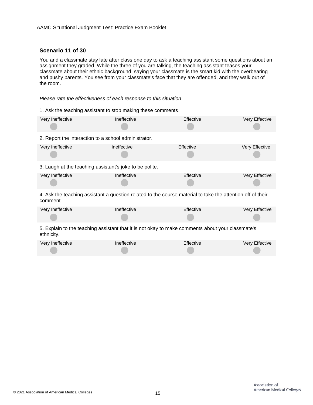#### **Scenario 11 of 30**

You and a classmate stay late after class one day to ask a teaching assistant some questions about an assignment they graded. While the three of you are talking, the teaching assistant teases your classmate about their ethnic background, saying your classmate is the smart kid with the overbearing and pushy parents. You see from your classmate's face that they are offended, and they walk out of the room.

*Please rate the effectiveness of each response to this situation.*

| 1. Ask the teaching assistant to stop making these comments.                                                           |             |           |                |  |
|------------------------------------------------------------------------------------------------------------------------|-------------|-----------|----------------|--|
| Very Ineffective                                                                                                       | Ineffective | Effective | Very Effective |  |
| 2. Report the interaction to a school administrator.                                                                   |             |           |                |  |
| Very Ineffective                                                                                                       | Ineffective | Effective | Very Effective |  |
| 3. Laugh at the teaching assistant's joke to be polite.                                                                |             |           |                |  |
| Very Ineffective                                                                                                       | Ineffective | Effective | Very Effective |  |
| 4. Ask the teaching assistant a question related to the course material to take the attention off of their<br>comment. |             |           |                |  |
| Very Ineffective                                                                                                       | Ineffective | Effective | Very Effective |  |
| 5. Explain to the teaching assistant that it is not okay to make comments about your classmate's<br>ethnicity.         |             |           |                |  |
| Very Ineffective                                                                                                       | Ineffective | Effective | Very Effective |  |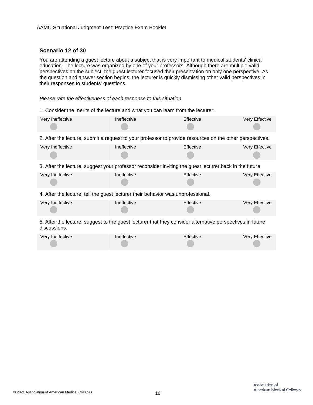#### **Scenario 12 of 30**

You are attending a guest lecture about a subject that is very important to medical students' clinical education. The lecture was organized by one of your professors. Although there are multiple valid perspectives on the subject, the guest lecturer focused their presentation on only one perspective. As the question and answer section begins, the lecturer is quickly dismissing other valid perspectives in their responses to students' questions.

*Please rate the effectiveness of each response to this situation.*

1. Consider the merits of the lecture and what you can learn from the lecturer.

| Very Ineffective                                                                                                          | Ineffective | Effective | Very Effective |
|---------------------------------------------------------------------------------------------------------------------------|-------------|-----------|----------------|
| 2. After the lecture, submit a request to your professor to provide resources on the other perspectives.                  |             |           |                |
| Very Ineffective                                                                                                          | Ineffective | Effective | Very Effective |
| 3. After the lecture, suggest your professor reconsider inviting the guest lecturer back in the future.                   |             |           |                |
| Very Ineffective                                                                                                          | Ineffective | Effective | Very Effective |
| 4. After the lecture, tell the guest lecturer their behavior was unprofessional.                                          |             |           |                |
| Very Ineffective                                                                                                          | Ineffective | Effective | Very Effective |
| 5. After the lecture, suggest to the guest lecturer that they consider alternative perspectives in future<br>discussions. |             |           |                |
| Very Ineffective                                                                                                          | Ineffective | Effective | Very Effective |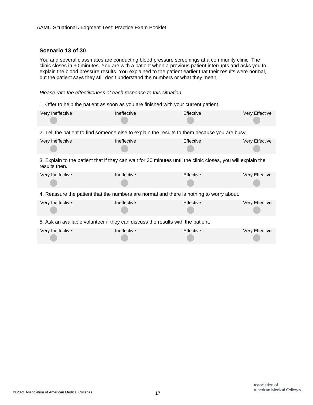#### **Scenario 13 of 30**

You and several classmates are conducting blood pressure screenings at a community clinic. The clinic closes in 30 minutes. You are with a patient when a previous patient interrupts and asks you to explain the blood pressure results. You explained to the patient earlier that their results were normal, but the patient says they still don't understand the numbers or what they mean.

*Please rate the effectiveness of each response to this situation.*

1. Offer to help the patient as soon as you are finished with your current patient.

| Very Ineffective                                                                | Ineffective | Effective                                                                                                    | Very Effective |  |
|---------------------------------------------------------------------------------|-------------|--------------------------------------------------------------------------------------------------------------|----------------|--|
|                                                                                 |             | 2. Tell the patient to find someone else to explain the results to them because you are busy.                |                |  |
| Very Ineffective                                                                | Ineffective | Effective                                                                                                    | Very Effective |  |
| results then.                                                                   |             | 3. Explain to the patient that if they can wait for 30 minutes until the clinic closes, you will explain the |                |  |
| Very Ineffective                                                                | Ineffective | Effective                                                                                                    | Very Effective |  |
|                                                                                 |             | 4. Reassure the patient that the numbers are normal and there is nothing to worry about.                     |                |  |
| Very Ineffective                                                                | Ineffective | Effective                                                                                                    | Very Effective |  |
| 5. Ask an available volunteer if they can discuss the results with the patient. |             |                                                                                                              |                |  |
| Very Ineffective                                                                | Ineffective | Effective                                                                                                    | Very Effective |  |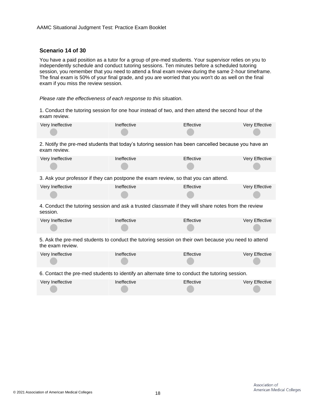#### **Scenario 14 of 30**

You have a paid position as a tutor for a group of pre-med students. Your supervisor relies on you to independently schedule and conduct tutoring sessions. Ten minutes before a scheduled tutoring session, you remember that you need to attend a final exam review during the same 2-hour timeframe. The final exam is 50% of your final grade, and you are worried that you won't do as well on the final exam if you miss the review session.

#### *Please rate the effectiveness of each response to this situation.*

1. Conduct the tutoring session for one hour instead of two, and then attend the second hour of the exam review.

| Very Ineffective                                                                                                        | Ineffective | Effective | Very Effective |  |
|-------------------------------------------------------------------------------------------------------------------------|-------------|-----------|----------------|--|
| 2. Notify the pre-med students that today's tutoring session has been cancelled because you have an<br>exam review.     |             |           |                |  |
| Very Ineffective                                                                                                        | Ineffective | Effective | Very Effective |  |
| 3. Ask your professor if they can postpone the exam review, so that you can attend.                                     |             |           |                |  |
| Very Ineffective                                                                                                        | Ineffective | Effective | Very Effective |  |
| 4. Conduct the tutoring session and ask a trusted classmate if they will share notes from the review<br>session.        |             |           |                |  |
| Very Ineffective                                                                                                        | Ineffective | Effective | Very Effective |  |
| 5. Ask the pre-med students to conduct the tutoring session on their own because you need to attend<br>the exam review. |             |           |                |  |
| Very Ineffective                                                                                                        | Ineffective | Effective | Very Effective |  |
| 6. Contact the pre-med students to identify an alternate time to conduct the tutoring session.                          |             |           |                |  |
| Very Ineffective                                                                                                        | Ineffective | Effective | Very Effective |  |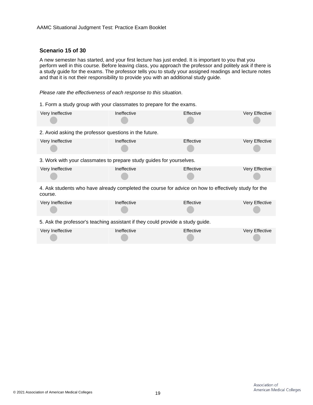#### **Scenario 15 of 30**

A new semester has started, and your first lecture has just ended. It is important to you that you perform well in this course. Before leaving class, you approach the professor and politely ask if there is a study guide for the exams. The professor tells you to study your assigned readings and lecture notes and that it is not their responsibility to provide you with an additional study guide.

*Please rate the effectiveness of each response to this situation.*

1. Form a study group with your classmates to prepare for the exams.

| Very Ineffective                                                                                                | Ineffective | Effective | Very Effective |
|-----------------------------------------------------------------------------------------------------------------|-------------|-----------|----------------|
| 2. Avoid asking the professor questions in the future.                                                          |             |           |                |
| Very Ineffective                                                                                                | Ineffective | Effective | Very Effective |
| 3. Work with your classmates to prepare study guides for yourselves.                                            |             |           |                |
| Very Ineffective                                                                                                | Ineffective | Effective | Very Effective |
| 4. Ask students who have already completed the course for advice on how to effectively study for the<br>course. |             |           |                |
| Very Ineffective                                                                                                | Ineffective | Effective | Very Effective |
| 5. Ask the professor's teaching assistant if they could provide a study guide.                                  |             |           |                |
| Very Ineffective                                                                                                | Ineffective | Effective | Very Effective |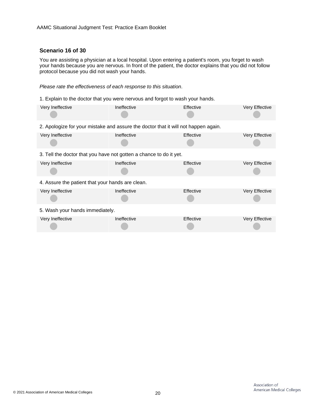#### **Scenario 16 of 30**

You are assisting a physician at a local hospital. Upon entering a patient's room, you forget to wash your hands because you are nervous. In front of the patient, the doctor explains that you did not follow protocol because you did not wash your hands.

#### *Please rate the effectiveness of each response to this situation.*

1. Explain to the doctor that you were nervous and forgot to wash your hands.

| Very Ineffective                                                                   | Ineffective | Effective | Very Effective |
|------------------------------------------------------------------------------------|-------------|-----------|----------------|
| 2. Apologize for your mistake and assure the doctor that it will not happen again. |             |           |                |
| Very Ineffective                                                                   | Ineffective | Effective | Very Effective |
| 3. Tell the doctor that you have not gotten a chance to do it yet.                 |             |           |                |
| Very Ineffective                                                                   | Ineffective | Effective | Very Effective |
| 4. Assure the patient that your hands are clean.                                   |             |           |                |
| Very Ineffective                                                                   | Ineffective | Effective | Very Effective |
| 5. Wash your hands immediately.                                                    |             |           |                |
| Very Ineffective                                                                   | Ineffective | Effective | Very Effective |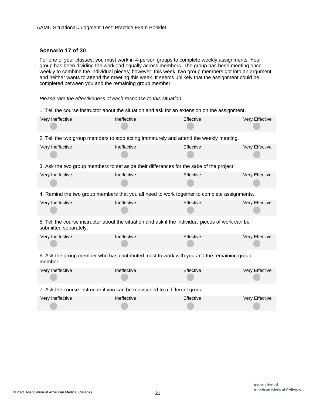#### **Scenario 17 of 30**

For one of your classes, you must work in 4-person groups to complete weekly assignments. Your group has been dividing the workload equally across members. The group has been meeting once weekly to combine the individual pieces; however, this week, two group members got into an argument and neither wants to attend the meeting this week. It seems unlikely that the assignment could be completed between you and the remaining group member.

*Please rate the effectiveness of each response to this situation.*

1. Tell the course instructor about the situation and ask for an extension on the assignment.

| Very Ineffective                                                                                     | Ineffective | Effective                                                                                         | Very Effective |  |
|------------------------------------------------------------------------------------------------------|-------------|---------------------------------------------------------------------------------------------------|----------------|--|
|                                                                                                      |             | 2. Tell the two group members to stop acting immaturely and attend the weekly meeting.            |                |  |
| Very Ineffective                                                                                     | Ineffective | Effective                                                                                         | Very Effective |  |
|                                                                                                      |             | 3. Ask the two group members to set aside their differences for the sake of the project.          |                |  |
| Very Ineffective                                                                                     | Ineffective | Effective                                                                                         | Very Effective |  |
|                                                                                                      |             | 4. Remind the two group members that you all need to work together to complete assignments.       |                |  |
| Very Ineffective                                                                                     | Ineffective | Effective                                                                                         | Very Effective |  |
| submitted separately.                                                                                |             | 5. Tell the course instructor about the situation and ask if the individual pieces of work can be |                |  |
| Very Ineffective                                                                                     | Ineffective | Effective                                                                                         | Very Effective |  |
| 6. Ask the group member who has contributed most to work with you and the remaining group<br>member. |             |                                                                                                   |                |  |
| Very Ineffective                                                                                     | Ineffective | Effective                                                                                         | Very Effective |  |
| 7. Ask the course instructor if you can be reassigned to a different group.                          |             |                                                                                                   |                |  |
| Very Ineffective                                                                                     | Ineffective | Effective                                                                                         | Very Effective |  |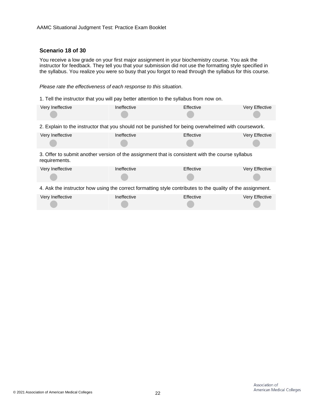#### **Scenario 18 of 30**

You receive a low grade on your first major assignment in your biochemistry course. You ask the instructor for feedback. They tell you that your submission did not use the formatting style specified in the syllabus. You realize you were so busy that you forgot to read through the syllabus for this course.

#### *Please rate the effectiveness of each response to this situation.*

1. Tell the instructor that you will pay better attention to the syllabus from now on.

| Very Ineffective                                                                                                  | Ineffective | Effective | Very Effective |  |
|-------------------------------------------------------------------------------------------------------------------|-------------|-----------|----------------|--|
| 2. Explain to the instructor that you should not be punished for being overwhelmed with coursework.               |             |           |                |  |
| Very Ineffective                                                                                                  | Ineffective | Effective | Very Effective |  |
| 3. Offer to submit another version of the assignment that is consistent with the course syllabus<br>requirements. |             |           |                |  |
| Very Ineffective                                                                                                  | Ineffective | Effective | Very Effective |  |
| 4. Ask the instructor how using the correct formatting style contributes to the quality of the assignment.        |             |           |                |  |
| Very Ineffective                                                                                                  | Ineffective | Effective | Very Effective |  |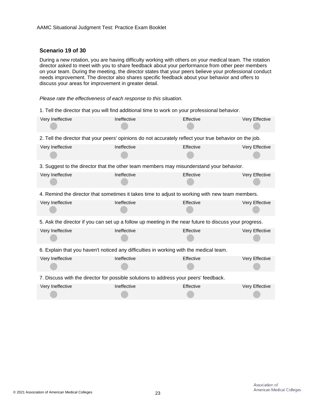#### **Scenario 19 of 30**

During a new rotation, you are having difficulty working with others on your medical team. The rotation director asked to meet with you to share feedback about your performance from other peer members on your team. During the meeting, the director states that your peers believe your professional conduct needs improvement. The director also shares specific feedback about your behavior and offers to discuss your areas for improvement in greater detail.

*Please rate the effectiveness of each response to this situation.*

1. Tell the director that you will find additional time to work on your professional behavior.

| Very Ineffective                                                                                        | Ineffective | Effective | Very Effective |
|---------------------------------------------------------------------------------------------------------|-------------|-----------|----------------|
| 2. Tell the director that your peers' opinions do not accurately reflect your true behavior on the job. |             |           |                |
| Very Ineffective                                                                                        | Ineffective | Effective | Very Effective |
| 3. Suggest to the director that the other team members may misunderstand your behavior.                 |             |           |                |
| Very Ineffective                                                                                        | Ineffective | Effective | Very Effective |
| 4. Remind the director that sometimes it takes time to adjust to working with new team members.         |             |           |                |
| Very Ineffective                                                                                        | Ineffective | Effective | Very Effective |
| 5. Ask the director if you can set up a follow up meeting in the near future to discuss your progress.  |             |           |                |
| Very Ineffective                                                                                        | Ineffective | Effective | Very Effective |
| 6. Explain that you haven't noticed any difficulties in working with the medical team.                  |             |           |                |
| Very Ineffective                                                                                        | Ineffective | Effective | Very Effective |
| 7. Discuss with the director for possible solutions to address your peers' feedback.                    |             |           |                |
| Very Ineffective                                                                                        | Ineffective | Effective | Very Effective |

 $\overline{\phantom{0}}$ 

**Contract** 

 $\overline{\phantom{a}}$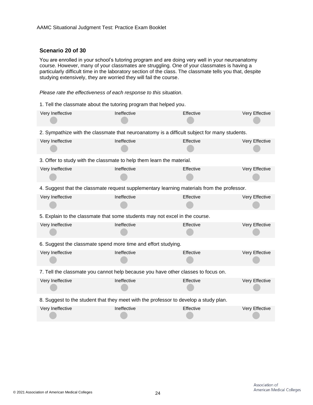#### **Scenario 20 of 30**

You are enrolled in your school's tutoring program and are doing very well in your neuroanatomy course. However, many of your classmates are struggling. One of your classmates is having a particularly difficult time in the laboratory section of the class. The classmate tells you that, despite studying extensively, they are worried they will fail the course.

*Please rate the effectiveness of each response to this situation.*

1. Tell the classmate about the tutoring program that helped you.

| Very Ineffective                                                                             | Ineffective | Effective | Very Effective |  |
|----------------------------------------------------------------------------------------------|-------------|-----------|----------------|--|
| 2. Sympathize with the classmate that neuroanatomy is a difficult subject for many students. |             |           |                |  |
| Very Ineffective                                                                             | Ineffective | Effective | Very Effective |  |
| 3. Offer to study with the classmate to help them learn the material.                        |             |           |                |  |
| Very Ineffective                                                                             | Ineffective | Effective | Very Effective |  |
| 4. Suggest that the classmate request supplementary learning materials from the professor.   |             |           |                |  |
| Very Ineffective                                                                             | Ineffective | Effective | Very Effective |  |
| 5. Explain to the classmate that some students may not excel in the course.                  |             |           |                |  |
| Very Ineffective                                                                             | Ineffective | Effective | Very Effective |  |
| 6. Suggest the classmate spend more time and effort studying.                                |             |           |                |  |
| Very Ineffective                                                                             | Ineffective | Effective | Very Effective |  |
| 7. Tell the classmate you cannot help because you have other classes to focus on.            |             |           |                |  |
| Very Ineffective                                                                             | Ineffective | Effective | Very Effective |  |
| 8. Suggest to the student that they meet with the professor to develop a study plan.         |             |           |                |  |
| Very Ineffective                                                                             | Ineffective | Effective | Very Effective |  |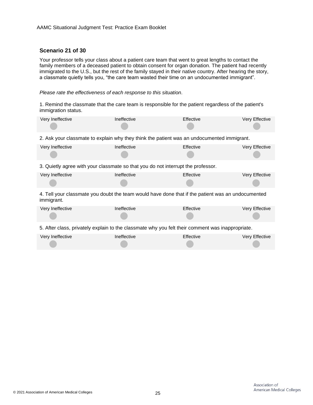#### **Scenario 21 of 30**

Your professor tells your class about a patient care team that went to great lengths to contact the family members of a deceased patient to obtain consent for organ donation. The patient had recently immigrated to the U.S., but the rest of the family stayed in their native country. After hearing the story, a classmate quietly tells you, "the care team wasted their time on an undocumented immigrant".

*Please rate the effectiveness of each response to this situation.*

1. Remind the classmate that the care team is responsible for the patient regardless of the patient's immigration status.

| Very Ineffective | Ineffective                                                                                       | Effective | Very Effective |
|------------------|---------------------------------------------------------------------------------------------------|-----------|----------------|
|                  | 2. Ask your classmate to explain why they think the patient was an undocumented immigrant.        |           |                |
| Very Ineffective | Ineffective                                                                                       | Effective | Very Effective |
|                  | 3. Quietly agree with your classmate so that you do not interrupt the professor.                  |           |                |
| Very Ineffective | Ineffective                                                                                       | Effective | Very Effective |
| immigrant.       | 4. Tell your classmate you doubt the team would have done that if the patient was an undocumented |           |                |
| Very Ineffective | Ineffective                                                                                       | Effective | Very Effective |
|                  | 5. After class, privately explain to the classmate why you felt their comment was inappropriate.  |           |                |
| Very Ineffective | Ineffective                                                                                       | Effective | Very Effective |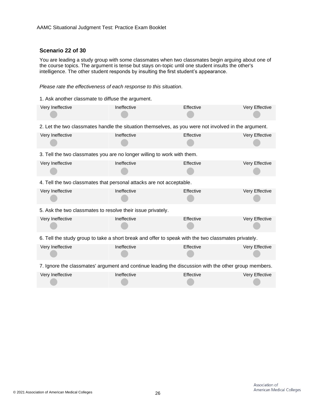#### **Scenario 22 of 30**

You are leading a study group with some classmates when two classmates begin arguing about one of the course topics. The argument is tense but stays on-topic until one student insults the other's intelligence. The other student responds by insulting the first student's appearance.

#### *Please rate the effectiveness of each response to this situation.*

1. Ask another classmate to diffuse the argument.

| Very Ineffective                                                                                     | Ineffective | Effective | Very Effective |  |
|------------------------------------------------------------------------------------------------------|-------------|-----------|----------------|--|
| 2. Let the two classmates handle the situation themselves, as you were not involved in the argument. |             |           |                |  |
| Very Ineffective                                                                                     | Ineffective | Effective | Very Effective |  |
| 3. Tell the two classmates you are no longer willing to work with them.                              |             |           |                |  |
| Very Ineffective                                                                                     | Ineffective | Effective | Very Effective |  |
| 4. Tell the two classmates that personal attacks are not acceptable.                                 |             |           |                |  |
| Very Ineffective                                                                                     | Ineffective | Effective | Very Effective |  |
| 5. Ask the two classmates to resolve their issue privately.                                          |             |           |                |  |
| Very Ineffective                                                                                     | Ineffective | Effective | Very Effective |  |
| 6. Tell the study group to take a short break and offer to speak with the two classmates privately.  |             |           |                |  |
| Very Ineffective                                                                                     | Ineffective | Effective | Very Effective |  |
| 7. Ignore the classmates' argument and continue leading the discussion with the other group members. |             |           |                |  |
| Very Ineffective                                                                                     | Ineffective | Effective | Very Effective |  |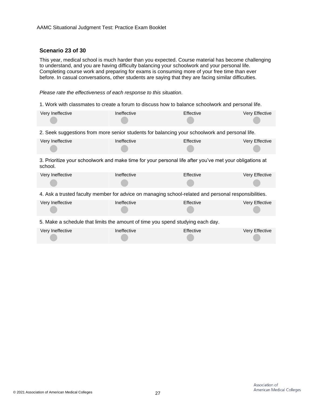#### **Scenario 23 of 30**

This year, medical school is much harder than you expected. Course material has become challenging to understand, and you are having difficulty balancing your schoolwork and your personal life. Completing course work and preparing for exams is consuming more of your free time than ever before. In casual conversations, other students are saying that they are facing similar difficulties.

*Please rate the effectiveness of each response to this situation.*

1. Work with classmates to create a forum to discuss how to balance schoolwork and personal life.

| Very Ineffective                                                                                                   | Ineffective | Effective | Very Effective |
|--------------------------------------------------------------------------------------------------------------------|-------------|-----------|----------------|
| 2. Seek suggestions from more senior students for balancing your schoolwork and personal life.                     |             |           |                |
| Very Ineffective                                                                                                   | Ineffective | Effective | Very Effective |
| 3. Prioritize your schoolwork and make time for your personal life after you've met your obligations at<br>school. |             |           |                |
| Very Ineffective                                                                                                   | Ineffective | Effective | Very Effective |
| 4. Ask a trusted faculty member for advice on managing school-related and personal responsibilities.               |             |           |                |
| Very Ineffective                                                                                                   | Ineffective | Effective | Very Effective |
| 5. Make a schedule that limits the amount of time you spend studying each day.                                     |             |           |                |
| Very Ineffective                                                                                                   | Ineffective | Effective | Very Effective |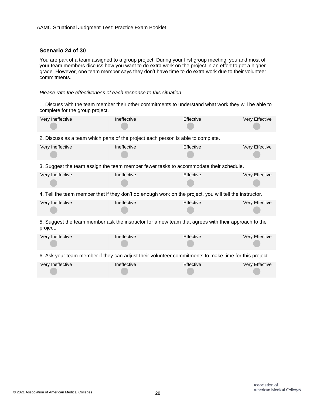#### **Scenario 24 of 30**

You are part of a team assigned to a group project. During your first group meeting, you and most of your team members discuss how you want to do extra work on the project in an effort to get a higher grade. However, one team member says they don't have time to do extra work due to their volunteer commitments.

*Please rate the effectiveness of each response to this situation.*

1. Discuss with the team member their other commitments to understand what work they will be able to complete for the group project.

| Very Ineffective                                                                                                | Ineffective | Effective | Very Effective |  |
|-----------------------------------------------------------------------------------------------------------------|-------------|-----------|----------------|--|
| 2. Discuss as a team which parts of the project each person is able to complete.                                |             |           |                |  |
| Very Ineffective                                                                                                | Ineffective | Effective | Very Effective |  |
| 3. Suggest the team assign the team member fewer tasks to accommodate their schedule.                           |             |           |                |  |
| Very Ineffective                                                                                                | Ineffective | Effective | Very Effective |  |
| 4. Tell the team member that if they don't do enough work on the project, you will tell the instructor.         |             |           |                |  |
| Very Ineffective                                                                                                | Ineffective | Effective | Very Effective |  |
| 5. Suggest the team member ask the instructor for a new team that agrees with their approach to the<br>project. |             |           |                |  |
| Very Ineffective                                                                                                | Ineffective | Effective | Very Effective |  |
| 6. Ask your team member if they can adjust their volunteer commitments to make time for this project.           |             |           |                |  |
| Very Ineffective                                                                                                | Ineffective | Effective | Very Effective |  |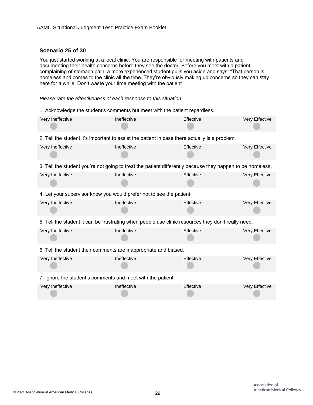#### **Scenario 25 of 30**

You just started working at a local clinic. You are responsible for meeting with patients and documenting their health concerns before they see the doctor. Before you meet with a patient complaining of stomach pain, a more experienced student pulls you aside and says: "That person is homeless and comes to the clinic all the time. They're obviously making up concerns so they can stay here for a while. Don't waste your time meeting with the patient".

*Please rate the effectiveness of each response to this situation.*

1. Acknowledge the student's comments but meet with the patient regardless.

| Very Ineffective                                                                                          | Ineffective | Effective | Very Effective |  |  |
|-----------------------------------------------------------------------------------------------------------|-------------|-----------|----------------|--|--|
| 2. Tell the student it's important to assist the patient in case there actually is a problem.             |             |           |                |  |  |
| Very Ineffective                                                                                          | Ineffective | Effective | Very Effective |  |  |
| 3. Tell the student you're not going to treat the patient differently because they happen to be homeless. |             |           |                |  |  |
| Very Ineffective                                                                                          | Ineffective | Effective | Very Effective |  |  |
| 4. Let your supervisor know you would prefer not to see the patient.                                      |             |           |                |  |  |
| Very Ineffective                                                                                          | Ineffective | Effective | Very Effective |  |  |
| 5. Tell the student it can be frustrating when people use clinic resources they don't really need.        |             |           |                |  |  |
| Very Ineffective                                                                                          | Ineffective | Effective | Very Effective |  |  |
| 6. Tell the student their comments are inappropriate and biased.                                          |             |           |                |  |  |
| Very Ineffective                                                                                          | Ineffective | Effective | Very Effective |  |  |
| 7. Ignore the student's comments and meet with the patient.                                               |             |           |                |  |  |
| Very Ineffective                                                                                          | Ineffective | Effective | Very Effective |  |  |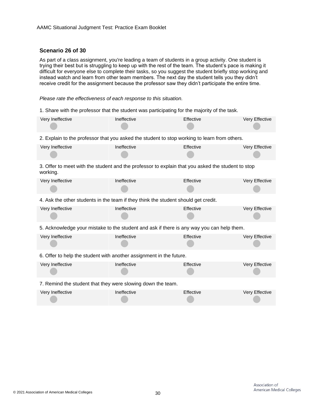#### **Scenario 26 of 30**

As part of a class assignment, you're leading a team of students in a group activity. One student is trying their best but is struggling to keep up with the rest of the team. The student's pace is making it difficult for everyone else to complete their tasks, so you suggest the student briefly stop working and instead watch and learn from other team members. The next day the student tells you they didn't receive credit for the assignment because the professor saw they didn't participate the entire time.

*Please rate the effectiveness of each response to this situation.*

1. Share with the professor that the student was participating for the majority of the task.

| Very Ineffective                                                                                              | Ineffective | Effective | Very Effective |  |  |
|---------------------------------------------------------------------------------------------------------------|-------------|-----------|----------------|--|--|
| 2. Explain to the professor that you asked the student to stop working to learn from others.                  |             |           |                |  |  |
| Very Ineffective                                                                                              | Ineffective | Effective | Very Effective |  |  |
| 3. Offer to meet with the student and the professor to explain that you asked the student to stop<br>working. |             |           |                |  |  |
| Very Ineffective                                                                                              | Ineffective | Effective | Very Effective |  |  |
| 4. Ask the other students in the team if they think the student should get credit.                            |             |           |                |  |  |
| Very Ineffective                                                                                              | Ineffective | Effective | Very Effective |  |  |
| 5. Acknowledge your mistake to the student and ask if there is any way you can help them.                     |             |           |                |  |  |
| Very Ineffective                                                                                              | Ineffective | Effective | Very Effective |  |  |
| 6. Offer to help the student with another assignment in the future.                                           |             |           |                |  |  |
| Very Ineffective                                                                                              | Ineffective | Effective | Very Effective |  |  |
| 7. Remind the student that they were slowing down the team.                                                   |             |           |                |  |  |
| Very Ineffective                                                                                              | Ineffective | Effective | Very Effective |  |  |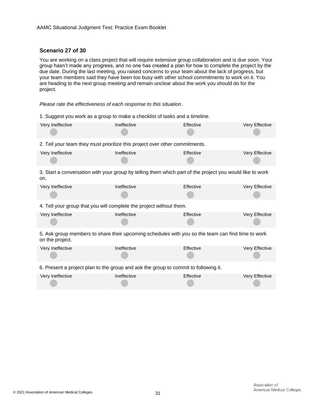#### **Scenario 27 of 30**

You are working on a class project that will require extensive group collaboration and is due soon. Your group hasn't made any progress, and no one has created a plan for how to complete the project by the due date. During the last meeting, you raised concerns to your team about the lack of progress, but your team members said they have been too busy with other school commitments to work on it. You are heading to the next group meeting and remain unclear about the work you should do for the project.

*Please rate the effectiveness of each response to this situation.*

| 1. Suggest you work as a group to make a checklist of tasks and a timeline.                                          |             |           |                |  |
|----------------------------------------------------------------------------------------------------------------------|-------------|-----------|----------------|--|
| Very Ineffective                                                                                                     | Ineffective | Effective | Very Effective |  |
| 2. Tell your team they must prioritize this project over other commitments.                                          |             |           |                |  |
| Very Ineffective                                                                                                     | Ineffective | Effective | Very Effective |  |
| 3. Start a conversation with your group by telling them which part of the project you would like to work<br>on.      |             |           |                |  |
| Very Ineffective                                                                                                     | Ineffective | Effective | Very Effective |  |
| 4. Tell your group that you will complete the project without them.                                                  |             |           |                |  |
| Very Ineffective                                                                                                     | Ineffective | Effective | Very Effective |  |
| 5. Ask group members to share their upcoming schedules with you so the team can find time to work<br>on the project. |             |           |                |  |
| Very Ineffective                                                                                                     | Ineffective | Effective | Very Effective |  |
| 6. Present a project plan to the group and ask the group to commit to following it.                                  |             |           |                |  |
| Very Ineffective                                                                                                     | Ineffective | Effective | Very Effective |  |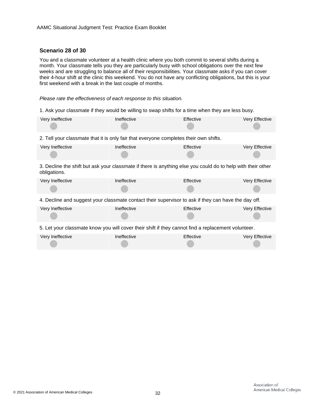#### **Scenario 28 of 30**

You and a classmate volunteer at a health clinic where you both commit to several shifts during a month. Your classmate tells you they are particularly busy with school obligations over the next few weeks and are struggling to balance all of their responsibilities. Your classmate asks if you can cover their 4-hour shift at the clinic this weekend. You do not have any conflicting obligations, but this is your first weekend with a break in the last couple of months.

*Please rate the effectiveness of each response to this situation.*

1. Ask your classmate if they would be willing to swap shifts for a time when they are less busy.

| Very Ineffective                                                                                                            | Ineffective | Effective | Very Effective |  |
|-----------------------------------------------------------------------------------------------------------------------------|-------------|-----------|----------------|--|
| 2. Tell your classmate that it is only fair that everyone completes their own shifts.                                       |             |           |                |  |
| Very Ineffective                                                                                                            | Ineffective | Effective | Very Effective |  |
| 3. Decline the shift but ask your classmate if there is anything else you could do to help with their other<br>obligations. |             |           |                |  |
| Very Ineffective                                                                                                            | Ineffective | Effective | Very Effective |  |
| 4. Decline and suggest your classmate contact their supervisor to ask if they can have the day off.                         |             |           |                |  |
| Very Ineffective                                                                                                            | Ineffective | Effective | Very Effective |  |
| 5. Let your classmate know you will cover their shift if they cannot find a replacement volunteer.                          |             |           |                |  |
| Very Ineffective                                                                                                            | Ineffective | Effective | Very Effective |  |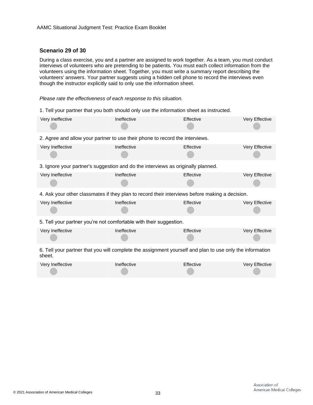#### **Scenario 29 of 30**

During a class exercise, you and a partner are assigned to work together. As a team, you must conduct interviews of volunteers who are pretending to be patients. You must each collect information from the volunteers using the information sheet. Together, you must write a summary report describing the volunteers' answers. Your partner suggests using a hidden cell phone to record the interviews even though the instructor explicitly said to only use the information sheet.

*Please rate the effectiveness of each response to this situation.*

1. Tell your partner that you both should only use the information sheet as instructed.

| Very Ineffective                                                                                                   | Ineffective | Effective | Very Effective |
|--------------------------------------------------------------------------------------------------------------------|-------------|-----------|----------------|
| 2. Agree and allow your partner to use their phone to record the interviews.                                       |             |           |                |
| Very Ineffective                                                                                                   | Ineffective | Effective | Very Effective |
| 3. Ignore your partner's suggestion and do the interviews as originally planned.                                   |             |           |                |
| Very Ineffective                                                                                                   | Ineffective | Effective | Very Effective |
| 4. Ask your other classmates if they plan to record their interviews before making a decision.                     |             |           |                |
| Very Ineffective                                                                                                   | Ineffective | Effective | Very Effective |
| 5. Tell your partner you're not comfortable with their suggestion.                                                 |             |           |                |
| Very Ineffective                                                                                                   | Ineffective | Effective | Very Effective |
| 6. Tell your partner that you will complete the assignment yourself and plan to use only the information<br>sheet. |             |           |                |
| Very Ineffective                                                                                                   | Ineffective | Effective | Very Effective |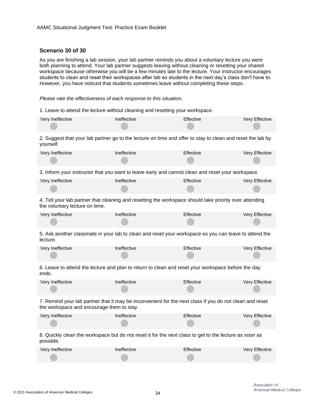#### **Scenario 30 of 30**

As you are finishing a lab session, your lab partner reminds you about a voluntary lecture you were both planning to attend. Your lab partner suggests leaving without cleaning or resetting your shared workspace because otherwise you will be a few minutes late to the lecture. Your instructor encourages students to clean and reset their workspaces after lab so students in the next day's class don't have to. However, you have noticed that students sometimes leave without completing these steps.

*Please rate the effectiveness of each response to this situation.*

1. Leave to attend the lecture without cleaning and resetting your workspace.

| Very Ineffective | Ineffective | Effective | Very Effective |
|------------------|-------------|-----------|----------------|
|                  |             |           |                |

2. Suggest that your lab partner go to the lecture on time and offer to stay to clean and reset the lab by yourself.

| Very Ineffective | Ineffective | Effective | Very Effective |
|------------------|-------------|-----------|----------------|
|                  |             |           |                |

3. Inform your instructor that you want to leave early and cannot clean and reset your workspace.

| Very Ineffective | Ineffective | Effective | Very Effective |
|------------------|-------------|-----------|----------------|
|                  |             |           |                |

4. Tell your lab partner that cleaning and resetting the workspace should take priority over attending the voluntary lecture on time.

| Very Ineffective | Ineffective | Effective | Very Effective |
|------------------|-------------|-----------|----------------|
|                  |             |           |                |

5. Ask another classmate in your lab to clean and reset your workspace so you can leave to attend the lecture.

| Very Ineffective | Ineffective | <b>Effective</b> | Very Effective |
|------------------|-------------|------------------|----------------|
|                  |             |                  |                |

6. Leave to attend the lecture and plan to return to clean and reset your workspace before the day ends.

| Very Ineffective | Ineffective | Effective | Very Effective |
|------------------|-------------|-----------|----------------|
|                  |             |           |                |

7. Remind your lab partner that it may be inconvenient for the next class if you do not clean and reset the workspace and encourage them to stay.

| Very Ineffective | Ineffective | Effective | Very Effective |
|------------------|-------------|-----------|----------------|
|                  |             |           |                |

8. Quickly clean the workspace but do not reset it for the next class to get to the lecture as soon as possible.

| Very Ineffective | Ineffective | Effective | <b>Very Effective</b> |
|------------------|-------------|-----------|-----------------------|
|                  |             |           |                       |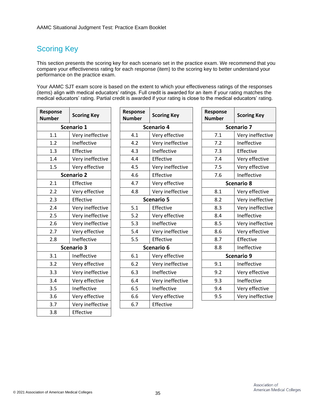# <span id="page-34-0"></span>Scoring Key

This section presents the scoring key for each scenario set in the practice exam. We recommend that you compare your effectiveness rating for each response (item) to the scoring key to better understand your performance on the practice exam.

Your AAMC SJT exam score is based on the extent to which your effectiveness ratings of the responses (items) align with medical educators' ratings. Full credit is awarded for an item if your rating matches the medical educators' rating. Partial credit is awarded if your rating is close to the medical educators' rating.

| Response<br><b>Number</b> | <b>Scoring Key</b> |  | Response<br><b>Number</b> | <b>Scoring I</b>  |
|---------------------------|--------------------|--|---------------------------|-------------------|
| Scenario 1                |                    |  |                           | <b>Scenario 4</b> |
| 1.1                       | Very ineffective   |  | 4.1                       | Very effe         |
| 1.2                       | Ineffective        |  | 4.2                       | Very inet         |
| 1.3                       | Effective          |  | 4.3                       | Ineffectiv        |
| 1.4                       | Very ineffective   |  | 4.4                       | Effective         |
| 1.5                       | Very effective     |  | 4.5                       | Very inet         |
|                           | <b>Scenario 2</b>  |  | 4.6                       | Effective         |
| 2.1                       | Effective          |  | 4.7                       | Very effe         |
| 2.2                       | Very effective     |  | 4.8                       | Very inet         |
| 2.3                       | Effective          |  |                           | <b>Scenario 5</b> |
| 2.4                       | Very ineffective   |  | 5.1                       | Effective         |
| 2.5                       | Very ineffective   |  | 5.2                       | Very effe         |
| 2.6                       | Very ineffective   |  | 5.3                       | Ineffectiv        |
| 2.7                       | Very effective     |  | 5.4                       | Very inet         |
| 2.8                       | Ineffective        |  | 5.5                       | Effective         |
|                           | <b>Scenario 3</b>  |  |                           | Scenario 6        |
| 3.1                       | Ineffective        |  | 6.1                       | Very effe         |
| 3.2                       | Very effective     |  | 6.2                       | Very inet         |
| 3.3                       | Very ineffective   |  | 6.3                       | Ineffectiv        |
| 3.4                       | Very effective     |  | 6.4                       | Very inet         |
| 3.5                       | Ineffective        |  | 6.5                       | Ineffectiv        |
| 3.6                       | Very effective     |  | 6.6                       | Very effe         |
| 3.7                       | Very ineffective   |  | 6.7                       | Effective         |
| 3.8                       | Effective          |  |                           |                   |

| onse<br>ıber | <b>Scoring Key</b> | Response<br><b>Number</b> | <b>Scoring Key</b> | Response<br><b>Number</b> | <b>Scoring Key</b> |
|--------------|--------------------|---------------------------|--------------------|---------------------------|--------------------|
| Scenario 1   |                    |                           | <b>Scenario 4</b>  |                           | <b>Scenario 7</b>  |
| 1.1          | Very ineffective   | 4.1                       | Very effective     | 7.1                       | Very ineffective   |
| 1.2          | Ineffective        | 4.2                       | Very ineffective   | 7.2                       | Ineffective        |
| 1.3          | Effective          | 4.3                       | Ineffective        | 7.3                       | Effective          |
| 1.4          | Very ineffective   | 4.4                       | Effective          | 7.4                       | Very effective     |
| 1.5          | Very effective     | 4.5                       | Very ineffective   | 7.5                       | Very effective     |
|              | <b>Scenario 2</b>  | 4.6                       | Effective          | 7.6                       | Ineffective        |
| 2.1          | Effective          | 4.7                       | Very effective     |                           | <b>Scenario 8</b>  |
| 2.2          | Very effective     | 4.8                       | Very ineffective   | 8.1                       | Very effective     |
| 2.3          | Effective          |                           | <b>Scenario 5</b>  | 8.2                       | Very ineffective   |
| 2.4          | Very ineffective   | 5.1                       | Effective          | 8.3                       | Very ineffective   |
| 2.5          | Very ineffective   | 5.2                       | Very effective     | 8.4                       | Ineffective        |
| 2.6          | Very ineffective   | 5.3                       | Ineffective        | 8.5                       | Very ineffective   |
| 2.7          | Very effective     | 5.4                       | Very ineffective   | 8.6                       | Very effective     |
| 2.8          | Ineffective        | 5.5                       | Effective          | 8.7                       | Effective          |
|              | <b>Scenario 3</b>  |                           | Scenario 6         | 8.8                       | Ineffective        |
| 3.1          | Ineffective        | 6.1                       | Very effective     |                           | Scenario 9         |
| 3.2          | Very effective     | 6.2                       | Very ineffective   | 9.1                       | Ineffective        |
| 3.3          | Very ineffective   | 6.3                       | Ineffective        | 9.2                       | Very effective     |
| 3.4          | Very effective     | 6.4                       | Very ineffective   | 9.3                       | Ineffective        |
| 3.5          | Ineffective        | 6.5                       | Ineffective        | 9.4                       | Very effective     |
| 3.6          | Very effective     | 6.6                       | Very effective     | 9.5                       | Very ineffective   |
| 3.7          | Very ineffective   | 6.7                       | Effective          |                           |                    |

| Response<br><b>Number</b> | <b>Scoring Key</b> |  |  |  |
|---------------------------|--------------------|--|--|--|
| <b>Scenario 7</b>         |                    |  |  |  |
| 7.1                       | Very ineffective   |  |  |  |
| 7.2                       | Ineffective        |  |  |  |
| 7.3                       | Effective          |  |  |  |
| 7.4                       | Very effective     |  |  |  |
| 7.5                       | Very effective     |  |  |  |
| 7.6                       | Ineffective        |  |  |  |
|                           | <b>Scenario 8</b>  |  |  |  |
| 8.1                       | Very effective     |  |  |  |
| 8.2                       | Very ineffective   |  |  |  |
| 8.3                       | Very ineffective   |  |  |  |
| 8.4                       | Ineffective        |  |  |  |
| 8.5                       | Very ineffective   |  |  |  |
| 8.6                       | Very effective     |  |  |  |
| 8.7                       | Effective          |  |  |  |
| 8.8                       | Ineffective        |  |  |  |
|                           | <b>Scenario 9</b>  |  |  |  |
| 9.1                       | Ineffective        |  |  |  |
| 9.2                       | Very effective     |  |  |  |
| 9.3                       | Ineffective        |  |  |  |
| 9.4                       | Very effective     |  |  |  |
| 9.5                       | Very ineffective   |  |  |  |
|                           |                    |  |  |  |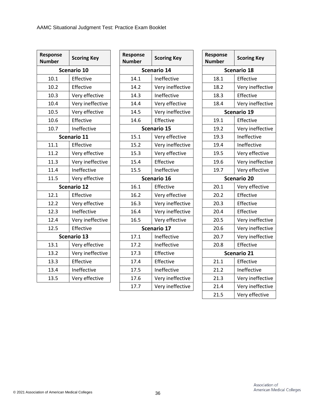| <b>Response</b><br><b>Number</b> | <b>Scoring Key</b> | Response<br><b>Number</b> |
|----------------------------------|--------------------|---------------------------|
|                                  | Scenario 10        | S <sub>0</sub>            |
| 10.1                             | Effective          | 14.1                      |
| 10.2                             | Effective          | 14.2                      |
| 10.3                             | Very effective     | 14.3                      |
| 10.4                             | Very ineffective   | 14.4                      |
| 10.5                             | Very effective     | 14.5                      |
| 10.6                             | Effective          | 14.6                      |
| 10.7                             | Ineffective        | S <sub>0</sub>            |
|                                  | Scenario 11        | 15.1                      |
| 11.1                             | Effective          | 15.2                      |
| 11.2                             | Very effective     | 15.3                      |
| 11.3                             | Very ineffective   | 15.4                      |
| 11.4                             | Ineffective        | 15.5                      |
| 11.5                             | Very effective     | $\mathsf{S}$              |
|                                  | <b>Scenario 12</b> | 16.1                      |
| 12.1                             | Effective          | 16.2                      |
| 12.2                             | Very effective     | 16.3                      |
| 12.3                             | Ineffective        | 16.4                      |
| 12.4                             | Very ineffective   | 16.5                      |
| 12.5                             | Effective          | S <sub>0</sub>            |
|                                  | <b>Scenario 13</b> | 17.1                      |
| 13.1                             | Very effective     | 17.2                      |
| 13.2                             | Very ineffective   | 17.3                      |
| 13.3                             | Effective          | 17.4                      |
| 13.4                             | Ineffective        | 17.5                      |
| 13.5                             | Very effective     | 17.6                      |
|                                  |                    |                           |

| ponse<br>nber | <b>Scoring Key</b> | Response<br><b>Number</b> | <b>Scoring Key</b> | Response<br><b>Number</b> | <b>Scoring Key</b> |  |
|---------------|--------------------|---------------------------|--------------------|---------------------------|--------------------|--|
|               | Scenario 10        |                           | Scenario 14        |                           | Scenario 18        |  |
| 10.1          | Effective          | 14.1                      | Ineffective        | 18.1                      | Effective          |  |
| 10.2          | Effective          | 14.2                      | Very ineffective   | 18.2                      | Very ineffective   |  |
| 10.3          | Very effective     | 14.3                      | Ineffective        | 18.3                      | Effective          |  |
| 10.4          | Very ineffective   | 14.4                      | Very effective     | 18.4                      | Very ineffective   |  |
| 10.5          | Very effective     | 14.5                      | Very ineffective   |                           | Scenario 19        |  |
| 10.6          | Effective          | 14.6                      | Effective          | 19.1                      | Effective          |  |
| 10.7          | Ineffective        |                           | <b>Scenario 15</b> | 19.2                      | Very ineffective   |  |
| Scenario 11   |                    | 15.1                      | Very effective     | 19.3                      | Ineffective        |  |
| 11.1          | Effective          | 15.2                      | Very ineffective   | 19.4                      | Ineffective        |  |
| 11.2          | Very effective     | 15.3                      | Very effective     | 19.5                      | Very effective     |  |
| 11.3          | Very ineffective   | 15.4                      | Effective          | 19.6                      | Very ineffective   |  |
| 11.4          | Ineffective        | 15.5                      | Ineffective        | 19.7                      | Very effective     |  |
| 11.5          | Very effective     |                           | Scenario 16        |                           | <b>Scenario 20</b> |  |
|               | <b>Scenario 12</b> | 16.1                      | Effective          | 20.1                      | Very effective     |  |
| 12.1          | Effective          | 16.2                      | Very effective     | 20.2                      | Effective          |  |
| 12.2          | Very effective     | 16.3                      | Very ineffective   | 20.3                      | Effective          |  |
| 12.3          | Ineffective        | 16.4                      | Very ineffective   | 20.4                      | Effective          |  |
| 12.4          | Very ineffective   | 16.5                      | Very effective     | 20.5                      | Very ineffective   |  |
| 12.5          | Effective          |                           | Scenario 17        | 20.6                      | Very ineffective   |  |
|               | Scenario 13        | 17.1                      | Ineffective        | 20.7                      | Very ineffective   |  |
| 13.1          | Very effective     | 17.2                      | Ineffective        | 20.8                      | Effective          |  |
| 13.2          | Very ineffective   | 17.3                      | Effective          |                           | <b>Scenario 21</b> |  |
| 13.3          | Effective          | 17.4                      | Effective          | 21.1                      | Effective          |  |
| 13.4          | Ineffective        | 17.5                      | Ineffective        | 21.2                      | Ineffective        |  |
| 13.5          | Very effective     | 17.6                      | Very ineffective   | 21.3                      | Very ineffective   |  |
|               |                    | 17.7                      | Very ineffective   | 21.4                      | Very ineffective   |  |
|               |                    |                           |                    |                           |                    |  |

| ponse<br>nber      | <b>Scoring Key</b> | Response<br><b>Number</b> |                    | <b>Scoring Key</b> |  |
|--------------------|--------------------|---------------------------|--------------------|--------------------|--|
| <b>Scenario 14</b> |                    |                           | Scenario 18        |                    |  |
| 14.1               | Ineffective        | 18.1                      |                    | Effective          |  |
| 14.2               | Very ineffective   | 18.2                      |                    | Very ineffective   |  |
| 14.3               | Ineffective        | 18.3                      |                    | Effective          |  |
| 14.4               | Very effective     | 18.4                      |                    | Very ineffective   |  |
| 14.5               | Very ineffective   |                           | <b>Scenario 19</b> |                    |  |
| 14.6               | Effective          | 19.1                      |                    | Effective          |  |
| Scenario 15        |                    | 19.2                      |                    | Very ineffective   |  |
| 15.1               | Very effective     | 19.3                      |                    | Ineffective        |  |
| 15.2               | Very ineffective   | 19.4                      |                    | Ineffective        |  |
| 15.3               | Very effective     | 19.5                      |                    | Very effective     |  |
| 15.4               | Effective          | 19.6                      |                    | Very ineffective   |  |
| 15.5               | Ineffective        | 19.7                      |                    | Very effective     |  |
| Scenario 16        |                    |                           | <b>Scenario 20</b> |                    |  |
| 16.1               | Effective          | 20.1                      |                    | Very effective     |  |
|                    |                    |                           |                    |                    |  |
| 16.2               | Very effective     | 20.2                      |                    | Effective          |  |
| 16.3               | Very ineffective   | 20.3                      |                    | Effective          |  |
| 16.4               | Very ineffective   | 20.4                      |                    | Effective          |  |
| 16.5               | Very effective     | 20.5                      |                    | Very ineffective   |  |
|                    | <b>Scenario 17</b> | 20.6                      |                    | Very ineffective   |  |
| 17.1               | Ineffective        | 20.7                      |                    | Very ineffective   |  |
| 17.2               | Ineffective        | 20.8                      |                    | Effective          |  |
| 17.3               | Effective          |                           |                    | <b>Scenario 21</b> |  |
| 17.4               | Effective          | 21.1                      |                    | Effective          |  |
| 17.5               | Ineffective        | 21.2                      |                    | Ineffective        |  |
| 17.6               | Very ineffective   | 21.3                      |                    | Very ineffective   |  |
| 17.7               | Very ineffective   | 21.4                      |                    | Very ineffective   |  |
|                    |                    | 21.5                      |                    | Very effective     |  |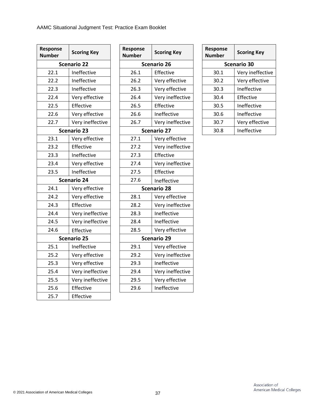| Response<br><b>Number</b> | <b>Scoring Key</b> |  | Response<br><b>Number</b> | <b>Scoring Ke</b> |  |  |
|---------------------------|--------------------|--|---------------------------|-------------------|--|--|
|                           | <b>Scenario 22</b> |  | <b>Scenario 26</b>        |                   |  |  |
| 22.1                      | Ineffective        |  | 26.1                      | Effective         |  |  |
| 22.2                      | Ineffective        |  | 26.2                      | Very effect       |  |  |
| 22.3                      | Ineffective        |  | 26.3                      | Very effect       |  |  |
| 22.4                      | Very effective     |  | 26.4                      | Very ineffe       |  |  |
| 22.5                      | Effective          |  | 26.5                      | Effective         |  |  |
| 22.6                      | Very effective     |  | 26.6                      | Ineffective       |  |  |
| 22.7                      | Very ineffective   |  | 26.7                      | Very ineffe       |  |  |
|                           | <b>Scenario 23</b> |  | <b>Scenario 27</b>        |                   |  |  |
| 23.1                      | Very effective     |  | 27.1                      | Very effect       |  |  |
| 23.2                      | Effective          |  | 27.2                      | Very ineffe       |  |  |
| 23.3                      | Ineffective        |  | 27.3                      | Effective         |  |  |
| 23.4                      | Very effective     |  | 27.4                      | Very ineffe       |  |  |
| 23.5                      | Ineffective        |  | 27.5                      | Effective         |  |  |
| <b>Scenario 24</b>        |                    |  | 27.6                      | Ineffective       |  |  |
| 24.1                      | Very effective     |  | <b>Scenario 28</b>        |                   |  |  |
| 24.2                      | Very effective     |  | 28.1                      | Very effect       |  |  |
| 24.3                      | Effective          |  | 28.2                      | Very ineffe       |  |  |
| 24.4                      | Very ineffective   |  | 28.3                      | Ineffective       |  |  |
| 24.5                      | Very ineffective   |  | 28.4                      | Ineffective       |  |  |
| 24.6                      | Effective          |  | 28.5                      | Very effect       |  |  |
|                           | <b>Scenario 25</b> |  | <b>Scenario 29</b>        |                   |  |  |
| 25.1                      | Ineffective        |  | 29.1                      | Very effect       |  |  |
| 25.2                      | Very effective     |  | 29.2                      | Very ineffe       |  |  |
| 25.3                      | Very effective     |  | 29.3                      | Ineffective       |  |  |
| 25.4                      | Very ineffective   |  | 29.4                      | Very ineffe       |  |  |
| 25.5                      | Very ineffective   |  | 29.5                      | Very effect       |  |  |
| 25.6                      | Effective          |  | 29.6                      | Ineffective       |  |  |
| 25.7                      | Effective          |  |                           |                   |  |  |

| ponse<br>nber          | <b>Scoring Key</b> | Response<br><b>Number</b> | <b>Scoring Key</b> | Response<br><b>Number</b> | <b>Scoring Key</b> |  |
|------------------------|--------------------|---------------------------|--------------------|---------------------------|--------------------|--|
| <b>Scenario 22</b>     |                    | Scenario 26               |                    | <b>Scenario 30</b>        |                    |  |
| 22.1                   | Ineffective        | 26.1                      | Effective          | 30.1                      | Very ineffective   |  |
| 22.2                   | Ineffective        | 26.2                      | Very effective     | 30.2                      | Very effective     |  |
| 22.3                   | Ineffective        | 26.3                      | Very effective     | 30.3                      | Ineffective        |  |
| 22.4                   | Very effective     | 26.4                      | Very ineffective   | 30.4                      | Effective          |  |
| 22.5                   | Effective          | 26.5                      | Effective          | 30.5                      | Ineffective        |  |
| 22.6                   | Very effective     | 26.6                      | Ineffective        | 30.6                      | Ineffective        |  |
| 22.7                   | Very ineffective   | 26.7                      | Very ineffective   | 30.7                      | Very effective     |  |
| <b>Scenario 23</b>     |                    |                           | <b>Scenario 27</b> | 30.8                      | Ineffective        |  |
| 23.1                   | Very effective     | 27.1                      | Very effective     |                           |                    |  |
| 23.2                   | Effective          | 27.2                      | Very ineffective   |                           |                    |  |
| 23.3                   | Ineffective        | 27.3                      | Effective          |                           |                    |  |
| 23.4                   | Very effective     | 27.4                      | Very ineffective   |                           |                    |  |
| 23.5                   | Ineffective        | 27.5                      | Effective          |                           |                    |  |
| <b>Scenario 24</b>     |                    | 27.6                      | Ineffective        |                           |                    |  |
| 24.1<br>Very effective |                    | <b>Scenario 28</b>        |                    |                           |                    |  |
| 24.2                   | Very effective     | 28.1                      | Very effective     |                           |                    |  |
| 24.3                   | Effective          | 28.2                      | Very ineffective   |                           |                    |  |
| 24.4                   | Very ineffective   | 28.3                      | Ineffective        |                           |                    |  |
| 24.5                   | Very ineffective   | 28.4                      | Ineffective        |                           |                    |  |
| 24.6                   | Effective          | 28.5                      | Very effective     |                           |                    |  |
| <b>Scenario 25</b>     |                    | <b>Scenario 29</b>        |                    |                           |                    |  |
| 25.1                   | Ineffective        | 29.1                      | Very effective     |                           |                    |  |
| 25.2                   | Very effective     | 29.2                      | Very ineffective   |                           |                    |  |
| 25.3                   | Very effective     | 29.3                      | Ineffective        |                           |                    |  |
| 25.4                   | Very ineffective   | 29.4                      | Very ineffective   |                           |                    |  |
| 25.5                   | Very ineffective   | 29.5                      | Very effective     |                           |                    |  |
| 25.6                   | Effective          | 29.6                      | Ineffective        |                           |                    |  |
|                        |                    |                           |                    |                           |                    |  |

| Response<br>Number | <b>Scoring Key</b> |  |  |  |  |  |
|--------------------|--------------------|--|--|--|--|--|
| <b>Scenario 30</b> |                    |  |  |  |  |  |
| 30.1               | Very ineffective   |  |  |  |  |  |
| 30.2               | Very effective     |  |  |  |  |  |
| 30.3               | Ineffective        |  |  |  |  |  |
| 30.4               | Effective          |  |  |  |  |  |
| 30.5               | Ineffective        |  |  |  |  |  |
| 30.6               | Ineffective        |  |  |  |  |  |
| 30.7               | Very effective     |  |  |  |  |  |
| 30.8               | Ineffective        |  |  |  |  |  |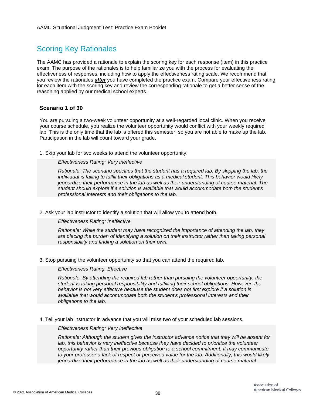# Scoring Key Rationales

The AAMC has provided a rationale to explain the scoring key for each response (item) in this practice exam. The purpose of the rationales is to help familiarize you with the process for evaluating the effectiveness of responses, including how to apply the effectiveness rating scale. We recommend that you review the rationales *after* you have completed the practice exam. Compare your effectiveness rating for each item with the scoring key and review the corresponding rationale to get a better sense of the reasoning applied by our medical school experts.

# **Scenario 1 of 30**

You are pursuing a two-week volunteer opportunity at a well-regarded local clinic. When you receive your course schedule, you realize the volunteer opportunity would conflict with your weekly required lab. This is the only time that the lab is offered this semester, so you are not able to make up the lab. Participation in the lab will count toward your grade.

1. Skip your lab for two weeks to attend the volunteer opportunity.

# *Effectiveness Rating: Very ineffective*

*Rationale: The scenario specifies that the student has a required lab. By skipping the lab, the individual is failing to fulfill their obligations as a medical student. This behavior would likely jeopardize their performance in the lab as well as their understanding of course material. The student should explore if a solution is available that would accommodate both the student's professional interests and their obligations to the lab.*

2. Ask your lab instructor to identify a solution that will allow you to attend both.

# *Effectiveness Rating: Ineffective*

*Rationale: While the student may have recognized the importance of attending the lab, they are placing the burden of identifying a solution on their instructor rather than taking personal responsibility and finding a solution on their own.*

3. Stop pursuing the volunteer opportunity so that you can attend the required lab.

# *Effectiveness Rating: Effective*

*Rationale: By attending the required lab rather than pursuing the volunteer opportunity, the student is taking personal responsibility and fulfilling their school obligations. However, the behavior is not very effective because the student does not first explore if a solution is available that would accommodate both the student's professional interests and their obligations to the lab.*

4. Tell your lab instructor in advance that you will miss two of your scheduled lab sessions.

#### *Effectiveness Rating: Very ineffective*

*Rationale: Although the student gives the instructor advance notice that they will be absent for lab, this behavior is very ineffective because they have decided to prioritize the volunteer opportunity rather than their previous obligation to a school commitment. It may communicate to your professor a lack of respect or perceived value for the lab. Additionally, this would likely jeopardize their performance in the lab as well as their understanding of course material.*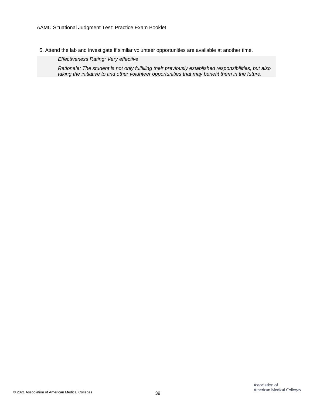5. Attend the lab and investigate if similar volunteer opportunities are available at another time.

*Effectiveness Rating: Very effective*

*Rationale: The student is not only fulfilling their previously established responsibilities, but also taking the initiative to find other volunteer opportunities that may benefit them in the future.*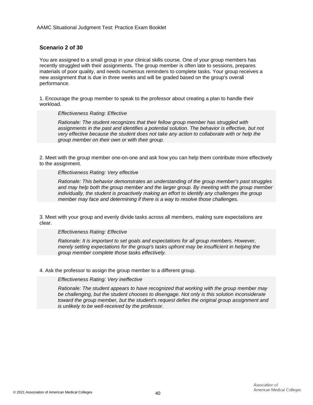# **Scenario 2 of 30**

You are assigned to a small group in your clinical skills course. One of your group members has recently struggled with their assignments. The group member is often late to sessions, prepares materials of poor quality, and needs numerous reminders to complete tasks. Your group receives a new assignment that is due in three weeks and will be graded based on the group's overall performance.

1. Encourage the group member to speak to the professor about creating a plan to handle their workload.

#### *Effectiveness Rating: Effective*

*Rationale: The student recognizes that their fellow group member has struggled with*  assignments in the past and identifies a potential solution. The behavior is effective, but not *very effective because the student does not take any action to collaborate with or help the group member on their own or with their group.*

2. Meet with the group member one-on-one and ask how you can help them contribute more effectively to the assignment.

#### *Effectiveness Rating: Very effective*

*Rationale: This behavior demonstrates an understanding of the group member's past struggles and may help both the group member and the larger group. By meeting with the group member individually, the student is proactively making an effort to identify any challenges the group member may face and determining if there is a way to resolve those challenges.*

3. Meet with your group and evenly divide tasks across all members, making sure expectations are clear.

*Effectiveness Rating: Effective*

*Rationale: It is important to set goals and expectations for all group members. However, merely setting expectations for the group's tasks upfront may be insufficient in helping the group member complete those tasks effectively.*

4. Ask the professor to assign the group member to a different group.

*Effectiveness Rating: Very ineffective*

*Rationale: The student appears to have recognized that working with the group member may be challenging, but the student chooses to disengage. Not only is this solution inconsiderate toward the group member, but the student's request defies the original group assignment and is unlikely to be well-received by the professor.*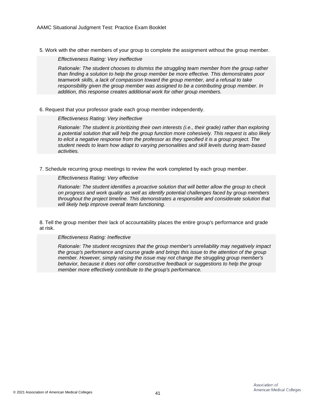5. Work with the other members of your group to complete the assignment without the group member.

*Effectiveness Rating: Very ineffective*

*Rationale: The student chooses to dismiss the struggling team member from the group rather than finding a solution to help the group member be more effective. This demonstrates poor teamwork skills, a lack of compassion toward the group member, and a refusal to take responsibility given the group member was assigned to be a contributing group member. In addition, this response creates additional work for other group members.*

6. Request that your professor grade each group member independently.

### *Effectiveness Rating: Very ineffective*

*Rationale: The student is prioritizing their own interests (i.e., their grade) rather than exploring a potential solution that will help the group function more cohesively. This request is also likely to elicit a negative response from the professor as they specified it is a group project. The student needs to learn how adapt to varying personalities and skill levels during team-based activities.*

7. Schedule recurring group meetings to review the work completed by each group member.

### *Effectiveness Rating: Very effective*

*Rationale: The student identifies a proactive solution that will better allow the group to check on progress and work quality as well as identify potential challenges faced by group members throughout the project timeline. This demonstrates a responsible and considerate solution that will likely help improve overall team functioning.*

8. Tell the group member their lack of accountability places the entire group's performance and grade at risk.

#### *Effectiveness Rating: Ineffective*

*Rationale: The student recognizes that the group member's unreliability may negatively impact the group's performance and course grade and brings this issue to the attention of the group member. However, simply raising the issue may not change the struggling group member's behavior, because it does not offer constructive feedback or suggestions to help the group member more effectively contribute to the group's performance.*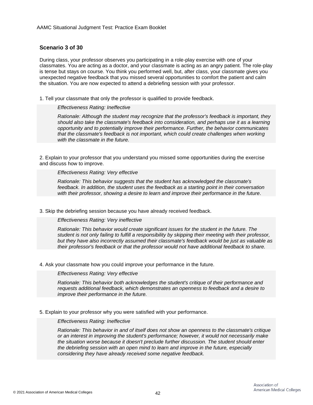# **Scenario 3 of 30**

During class, your professor observes you participating in a role-play exercise with one of your classmates. You are acting as a doctor, and your classmate is acting as an angry patient. The role-play is tense but stays on course. You think you performed well, but, after class, your classmate gives you unexpected negative feedback that you missed several opportunities to comfort the patient and calm the situation. You are now expected to attend a debriefing session with your professor.

1. Tell your classmate that only the professor is qualified to provide feedback.

#### *Effectiveness Rating: Ineffective*

*Rationale: Although the student may recognize that the professor's feedback is important, they should also take the classmate's feedback into consideration, and perhaps use it as a learning opportunity and to potentially improve their performance. Further, the behavior communicates that the classmate's feedback is not important, which could create challenges when working with the classmate in the future.*

2. Explain to your professor that you understand you missed some opportunities during the exercise and discuss how to improve.

*Effectiveness Rating: Very effective*

*Rationale: This behavior suggests that the student has acknowledged the classmate's feedback. In addition, the student uses the feedback as a starting point in their conversation with their professor, showing a desire to learn and improve their performance in the future.*

3. Skip the debriefing session because you have already received feedback.

*Effectiveness Rating: Very ineffective*

*Rationale: This behavior would create significant issues for the student in the future. The student is not only failing to fulfill a responsibility by skipping their meeting with their professor, but they have also incorrectly assumed their classmate's feedback would be just as valuable as their professor's feedback or that the professor would not have additional feedback to share.*

4. Ask your classmate how you could improve your performance in the future.

*Effectiveness Rating: Very effective*

*Rationale: This behavior both acknowledges the student's critique of their performance and requests additional feedback, which demonstrates an openness to feedback and a desire to improve their performance in the future.*

5. Explain to your professor why you were satisfied with your performance.

### *Effectiveness Rating: Ineffective*

*Rationale: This behavior in and of itself does not show an openness to the classmate's critique or an interest in improving the student's performance; however, it would not necessarily make the situation worse because it doesn't preclude further discussion. The student should enter the debriefing session with an open mind to learn and improve in the future, especially considering they have already received some negative feedback.*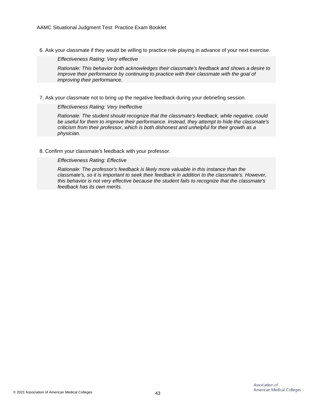6. Ask your classmate if they would be willing to practice role playing in advance of your next exercise.

*Effectiveness Rating: Very effective*

*Rationale: This behavior both acknowledges their classmate's feedback and shows a desire to improve their performance by continuing to practice with their classmate with the goal of improving their performance.*

7. Ask your classmate not to bring up the negative feedback during your debriefing session.

*Effectiveness Rating: Very Ineffective*

*Rationale: The student should recognize that the classmate's feedback, while negative, could be useful for them to improve their performance. Instead, they attempt to hide the classmate's criticism from their professor, which is both dishonest and unhelpful for their growth as a physician.*

8. Confirm your classmate's feedback with your professor.

*Effectiveness Rating: Effective*

*Rationale: The professor's feedback is likely more valuable in this instance than the classmate's, so it is important to seek their feedback in addition to the classmate's. However, this behavior is not very effective because the student fails to recognize that the classmate's feedback has its own merits.*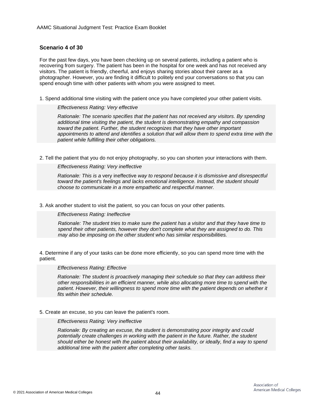# **Scenario 4 of 30**

For the past few days, you have been checking up on several patients, including a patient who is recovering from surgery. The patient has been in the hospital for one week and has not received any visitors. The patient is friendly, cheerful, and enjoys sharing stories about their career as a photographer. However, you are finding it difficult to politely end your conversations so that you can spend enough time with other patients with whom you were assigned to meet.

1. Spend additional time visiting with the patient once you have completed your other patient visits.

#### *Effectiveness Rating: Very effective*

*Rationale: The scenario specifies that the patient has not received any visitors. By spending additional time visiting the patient, the student is demonstrating empathy and compassion toward the patient. Further, the student recognizes that they have other important appointments to attend and identifies a solution that will allow them to spend extra time with the patient while fulfilling their other obligations.*

2. Tell the patient that you do not enjoy photography, so you can shorten your interactions with them.

*Effectiveness Rating: Very ineffective*

*Rationale: This is a* very ineffective *way to respond because it is dismissive and disrespectful toward the patient's feelings and lacks emotional intelligence. Instead, the student should choose to communicate in a more empathetic and respectful manner.*

3. Ask another student to visit the patient, so you can focus on your other patients.

*Effectiveness Rating: Ineffective*

*Rationale: The student tries to make sure the patient has a visitor and that they have time to spend their other patients, however they don't complete what they are assigned to do. This may also be imposing on the other student who has similar responsibilities.*

4. Determine if any of your tasks can be done more efficiently, so you can spend more time with the patient.

#### *Effectiveness Rating: Effective*

*Rationale: The student is proactively managing their schedule so that they can address their other responsibilities in an efficient manner, while also allocating more time to spend with the patient. However, their willingness to spend more time with the patient depends on whether it fits within their schedule.*

5. Create an excuse, so you can leave the patient's room.

*Effectiveness Rating: Very ineffective*

*Rationale: By creating an excuse, the student is demonstrating poor integrity and could potentially create challenges in working with the patient in the future. Rather, the student should either be honest with the patient about their availability, or ideally, find a way to spend additional time with the patient after completing other tasks.*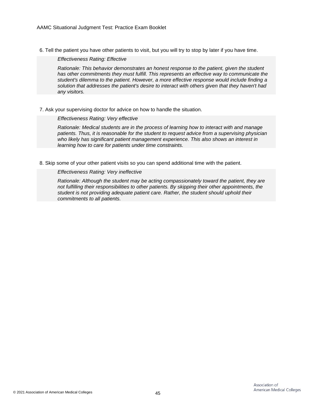6. Tell the patient you have other patients to visit, but you will try to stop by later if you have time.

*Effectiveness Rating: Effective*

*Rationale: This behavior demonstrates an honest response to the patient, given the student has other commitments they must fulfill. This represents an effective way to communicate the student's dilemma to the patient. However, a more effective response would include finding a solution that addresses the patient's desire to interact with others given that they haven't had any visitors.*

7. Ask your supervising doctor for advice on how to handle the situation.

### *Effectiveness Rating: Very effective*

*Rationale: Medical students are in the process of learning how to interact with and manage patients. Thus, it is reasonable for the student to request advice from a supervising physician who likely has significant patient management experience. This also shows an interest in learning how to care for patients under time constraints.*

8. Skip some of your other patient visits so you can spend additional time with the patient.

# *Effectiveness Rating: Very ineffective*

*Rationale: Although the student may be acting compassionately toward the patient, they are not fulfilling their responsibilities to other patients. By skipping their other appointments, the student is not providing adequate patient care. Rather, the student should uphold their commitments to all patients.*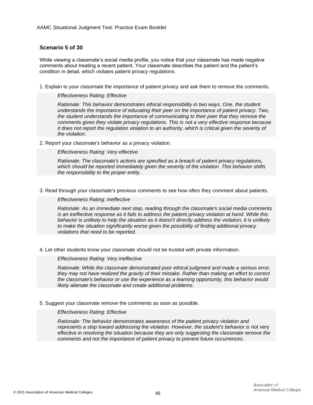# **Scenario 5 of 30**

While viewing a classmate's social media profile, you notice that your classmate has made negative comments about treating a recent patient. Your classmate describes the patient and the patient's condition in detail, which violates patient privacy regulations.

1. Explain to your classmate the importance of patient privacy and ask them to remove the comments.

*Effectiveness Rating: Effective*

*Rationale: This behavior demonstrates ethical responsibility in two ways. One, the student understands the importance of educating their peer on the importance of patient privacy. Two, the student understands the importance of communicating to their peer that they remove the comments given they violate privacy regulations. This is not a very effective response because it does not report the regulation violation to an authority, which is critical given the severity of the violation.*

2. Report your classmate's behavior as a privacy violation.

*Effectiveness Rating: Very effective*

*Rationale: The classmate's actions are specified as a breach of patient privacy regulations, which should be reported immediately given the severity of the violation. This behavior shifts the responsibility to the proper entity.*

3. Read through your classmate's previous comments to see how often they comment about patients.

*Effectiveness Rating: Ineffective*

*Rationale: As an immediate next step, reading through the classmate's social media comments is an* ineffective *response as it fails to address the patient privacy violation at hand. While this behavior is unlikely to help the situation as it doesn't directly address the violation, it is unlikely to make the situation significantly worse given the possibility of finding additional privacy violations that need to be reported.*

4. Let other students know your classmate should not be trusted with private information.

*Effectiveness Rating: Very ineffective*

*Rationale: While the classmate demonstrated poor ethical judgment and made a serious error, they may not have realized the gravity of their mistake. Rather than making an effort to correct the classmate's behavior or use the experience as a learning opportunity, this behavior would likely alienate the classmate and create additional problems.*

5. Suggest your classmate remove the comments as soon as possible.

#### *Effectiveness Rating: Effective*

*Rationale: The behavior demonstrates awareness of the patient privacy violation and*  represents a step toward addressing the violation. However, the student's behavior is not very effective *in resolving the situation because they are only suggesting the classmate remove the comments and not the importance of patient privacy to prevent future occurrences.*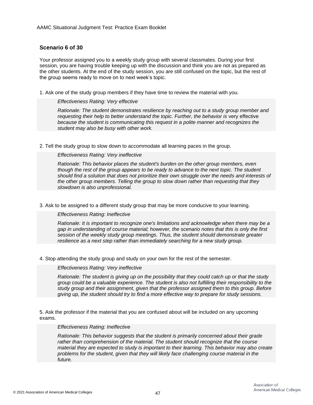# **Scenario 6 of 30**

Your professor assigned you to a weekly study group with several classmates. During your first session, you are having trouble keeping up with the discussion and think you are not as prepared as the other students. At the end of the study session, you are still confused on the topic, but the rest of the group seems ready to move on to next week's topic.

1. Ask one of the study group members if they have time to review the material with you.

### *Effectiveness Rating: Very effective*

*Rationale: The student demonstrates resilience by reaching out to a study group member and requesting their help to better understand the topic. Further, the behavior is very effective because the student is communicating this request in a polite manner and recognizes the student may also be busy with other work.*

2. Tell the study group to slow down to accommodate all learning paces in the group.

# *Effectiveness Rating: Very ineffective*

*Rationale: This behavior places the student's burden on the other group members, even though the rest of the group appears to be ready to advance to the next topic. The student should find a solution that does not prioritize their own struggle over the needs and interests of the other group members. Telling the group to slow down rather than requesting that they slowdown is also unprofessional.*

3. Ask to be assigned to a different study group that may be more conducive to your learning.

# *Effectiveness Rating: Ineffective*

*Rationale: It is important to recognize one's limitations and acknowledge when there may be a gap in understanding of course material; however, the scenario notes that this is only the first session of the weekly study group meetings. Thus, the student should demonstrate greater resilience as a next step rather than immediately searching for a new study group.*

4. Stop attending the study group and study on your own for the rest of the semester.

# *Effectiveness Rating: Very ineffective*

*Rationale: The student is giving up on the possibility that they could catch up or that the study group could be a valuable experience. The student is also not fulfilling their responsibility to the study group and their assignment, given that the professor assigned them to this group. Before giving up, the student should try to find a more effective way to prepare for study sessions.*

5. Ask the professor if the material that you are confused about will be included on any upcoming exams.

#### *Effectiveness Rating: Ineffective*

*Rationale: This behavior suggests that the student is primarily concerned about their grade rather than comprehension of the material. The student should recognize that the course material they are expected to study is important to their learning. This behavior may also create problems for the student, given that they will likely face challenging course material in the future.*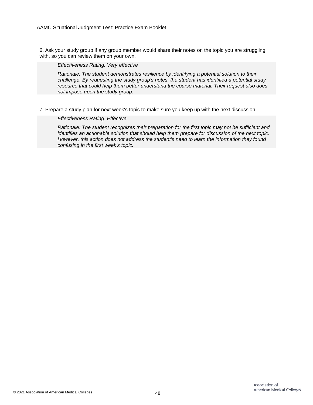6. Ask your study group if any group member would share their notes on the topic you are struggling with, so you can review them on your own.

*Effectiveness Rating: Very effective*

*Rationale: The student demonstrates resilience by identifying a potential solution to their challenge. By requesting the study group's notes, the student has identified a potential study resource that could help them better understand the course material. Their request also does not impose upon the study group.*

7. Prepare a study plan for next week's topic to make sure you keep up with the next discussion.

*Effectiveness Rating: Effective*

*Rationale: The student recognizes their preparation for the first topic may not be sufficient and identifies an actionable solution that should help them prepare for discussion of the next topic. However, this action does not address the student's need to learn the information they found confusing in the first week's topic.*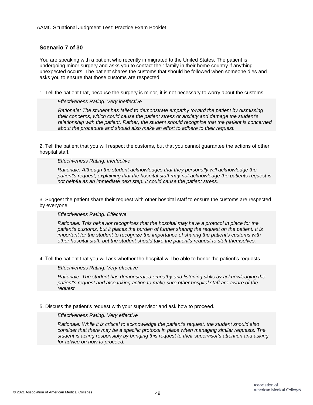# **Scenario 7 of 30**

You are speaking with a patient who recently immigrated to the United States. The patient is undergoing minor surgery and asks you to contact their family in their home country if anything unexpected occurs. The patient shares the customs that should be followed when someone dies and asks you to ensure that those customs are respected.

1. Tell the patient that, because the surgery is minor, it is not necessary to worry about the customs.

### *Effectiveness Rating: Very ineffective*

*Rationale: The student has failed to demonstrate empathy toward the patient by dismissing their concerns, which could cause the patient stress or anxiety and damage the student's relationship with the patient. Rather, the student should recognize that the patient is concerned about the procedure and should also make an effort to adhere to their request.*

2. Tell the patient that you will respect the customs, but that you cannot guarantee the actions of other hospital staff.

### *Effectiveness Rating: Ineffective*

*Rationale: Although the student acknowledges that they personally will acknowledge the patient's request, explaining that the hospital staff may not acknowledge the patients request is not helpful as an immediate next step. It could cause the patient stress.*

3. Suggest the patient share their request with other hospital staff to ensure the customs are respected by everyone.

# *Effectiveness Rating: Effective*

*Rationale: This behavior recognizes that the hospital may have a protocol in place for the patient's customs, but it places the burden of further sharing the request on the patient. It is important for the student to recognize the importance of sharing the patient's customs with other hospital staff, but the student should take the patient's request to staff themselves.*

4. Tell the patient that you will ask whether the hospital will be able to honor the patient's requests.

# *Effectiveness Rating: Very effective*

*Rationale: The student has demonstrated empathy and listening skills by acknowledging the patient's request and also taking action to make sure other hospital staff are aware of the request.*

# 5. Discuss the patient's request with your supervisor and ask how to proceed.

# *Effectiveness Rating: Very effective*

*Rationale: While it is critical to acknowledge the patient's request, the student should also consider that there may be a specific protocol in place when managing similar requests. The student is acting responsibly by bringing this request to their supervisor's attention and asking for advice on how to proceed.*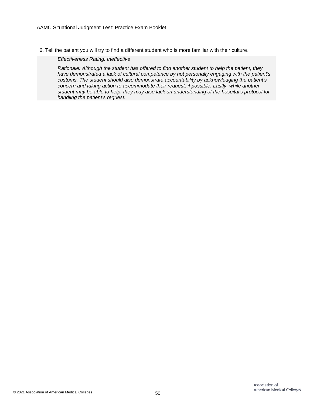6. Tell the patient you will try to find a different student who is more familiar with their culture.

*Effectiveness Rating: Ineffective*

*Rationale: Although the student has offered to find another student to help the patient, they have demonstrated a lack of cultural competence by not personally engaging with the patient's customs. The student should also demonstrate accountability by acknowledging the patient's concern and taking action to accommodate their request, if possible. Lastly, while another student may be able to help, they may also lack an understanding of the hospital's protocol for handling the patient's request.*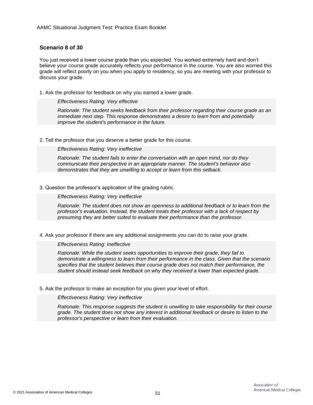# **Scenario 8 of 30**

You just received a lower course grade than you expected. You worked extremely hard and don't believe your course grade accurately reflects your performance in the course. You are also worried this grade will reflect poorly on you when you apply to residency, so you are meeting with your professor to discuss your grade.

1. Ask the professor for feedback on why you earned a lower grade.

### *Effectiveness Rating: Very effective*

*Rationale: The student seeks feedback from their professor regarding their course grade as an immediate next step. This response demonstrates a desire to learn from and potentially improve the student's performance in the future.*

2. Tell the professor that you deserve a better grade for this course.

*Effectiveness Rating: Very ineffective*

*Rationale: The student fails to enter the conversation with an open mind, nor do they communicate their perspective in an appropriate manner. The student's behavior also demonstrates that they are unwilling to accept or learn from this setback.*

# 3. Question the professor's application of the grading rubric.

*Effectiveness Rating: Very ineffective*

*Rationale: The student does not show an openness to additional feedback or to learn from the professor's evaluation. Instead, the student treats their professor with a lack of respect by presuming they are better suited to evaluate their performance than the professor.*

4. Ask your professor if there are any additional assignments you can do to raise your grade.

*Effectiveness Rating: Ineffective*

*Rationale: While the student seeks opportunities to improve their grade, they fail to demonstrate a willingness to learn from their performance in the class. Given that the scenario specifies that the student believes their course grade does not match their performance, the student should instead seek feedback on why they received a lower than expected grade.*

5. Ask the professor to make an exception for you given your level of effort.

*Effectiveness Rating: Very ineffective*

*Rationale: This response suggests the student is unwilling to take responsibility for their course grade. The student does not show any interest in additional feedback or desire to listen to the professor's perspective or learn from their evaluation.*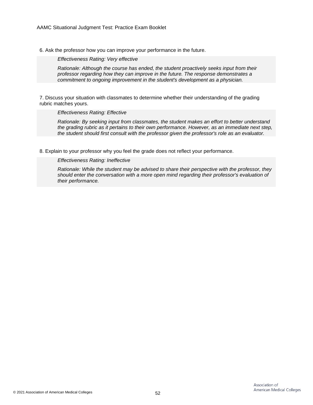6. Ask the professor how you can improve your performance in the future.

*Effectiveness Rating: Very effective*

*Rationale: Although the course has ended, the student proactively seeks input from their professor regarding how they can improve in the future. The response demonstrates a commitment to ongoing improvement in the student's development as a physician.*

7. Discuss your situation with classmates to determine whether their understanding of the grading rubric matches yours.

*Effectiveness Rating: Effective*

*Rationale: By seeking input from classmates, the student makes an effort to better understand the grading rubric as it pertains to their own performance. However, as an immediate next step, the student should first consult with the professor given the professor's role as an evaluator.*

8. Explain to your professor why you feel the grade does not reflect your performance.

*Effectiveness Rating: Ineffective*

*Rationale: While the student may be advised to share their perspective with the professor, they should enter the conversation with a more open mind regarding their professor's evaluation of their performance.*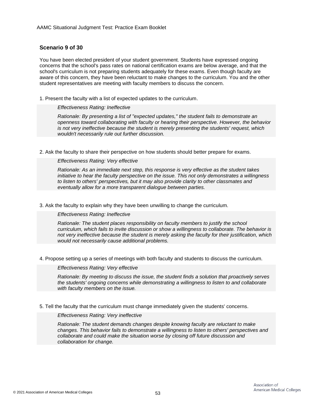# **Scenario 9 of 30**

You have been elected president of your student government. Students have expressed ongoing concerns that the school's pass rates on national certification exams are below average, and that the school's curriculum is not preparing students adequately for these exams. Even though faculty are aware of this concern, they have been reluctant to make changes to the curriculum. You and the other student representatives are meeting with faculty members to discuss the concern.

1. Present the faculty with a list of expected updates to the curriculum.

#### *Effectiveness Rating: Ineffective*

*Rationale: By presenting a list of "expected updates," the student fails to demonstrate an openness toward collaborating with faculty or hearing their perspective. However, the behavior is not very ineffective because the student is merely presenting the students' request, which wouldn't necessarily rule out further discussion.*

2. Ask the faculty to share their perspective on how students should better prepare for exams.

*Effectiveness Rating: Very effective*

*Rationale: As an immediate next step, this response is very effective as the student takes initiative to hear the faculty perspective on the issue. This not only demonstrates a willingness to listen to others' perspectives, but it may also provide clarity to other classmates and eventually allow for a more transparent dialogue between parties.*

3. Ask the faculty to explain why they have been unwilling to change the curriculum.

*Effectiveness Rating: Ineffective*

*Rationale: The student places responsibility on faculty members to justify the school curriculum, which fails to invite discussion or show a willingness to collaborate. The behavior is not very ineffective because the student is merely asking the faculty for their justification, which would not necessarily cause additional problems.*

4. Propose setting up a series of meetings with both faculty and students to discuss the curriculum.

*Effectiveness Rating: Very effective*

*Rationale: By meeting to discuss the issue, the student finds a solution that proactively serves the students' ongoing concerns while demonstrating a willingness to listen to and collaborate with faculty members on the issue.*

5. Tell the faculty that the curriculum must change immediately given the students' concerns.

*Effectiveness Rating: Very ineffective*

*Rationale: The student demands changes despite knowing faculty are reluctant to make changes. This behavior fails to demonstrate a willingness to listen to others' perspectives and collaborate and could make the situation worse by closing off future discussion and collaboration for change.*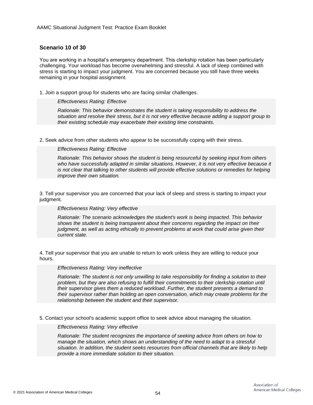# **Scenario 10 of 30**

You are working in a hospital's emergency department. This clerkship rotation has been particularly challenging. Your workload has become overwhelming and stressful. A lack of sleep combined with stress is starting to impact your judgment. You are concerned because you still have three weeks remaining in your hospital assignment.

1. Join a support group for students who are facing similar challenges.

#### *Effectiveness Rating: Effective*

*Rationale: This behavior demonstrates the student is taking responsibility to address the situation and resolve their stress, but it is not very effective because adding a support group to their existing schedule may exacerbate their existing time constraints.*

2. Seek advice from other students who appear to be successfully coping with their stress.

# *Effectiveness Rating: Effective*

*Rationale: This behavior shows the student is being resourceful by seeking input from others who have successfully adapted in similar situations. However, it is not very effective because it is not clear that talking to other students will provide effective solutions or remedies for helping improve their own situation.*

3. Tell your supervisor you are concerned that your lack of sleep and stress is starting to impact your judgment.

# *Effectiveness Rating: Very effective*

*Rationale: The scenario acknowledges the student's work is being impacted. This behavior shows the student is being transparent about their concerns regarding the impact on their judgment, as well as acting ethically to prevent problems at work that could arise given their current state.*

4. Tell your supervisor that you are unable to return to work unless they are willing to reduce your hours.

*Effectiveness Rating: Very ineffective*

*Rationale: The student is not only unwilling to take responsibility for finding a solution to their problem, but they are also refusing to fulfill their commitments to their clerkship rotation until their supervisor gives them a reduced workload. Further, the student presents a demand to their supervisor rather than holding an open conversation, which may create problems for the relationship between the student and their supervisor.*

5. Contact your school's academic support office to seek advice about managing the situation.

#### *Effectiveness Rating: Very effective*

*Rationale: The student recognizes the importance of seeking advice from others on how to manage the situation, which shows an understanding of the need to adapt to a stressful situation. In addition, the student seeks resources from official channels that are likely to help provide a more immediate solution to their situation.*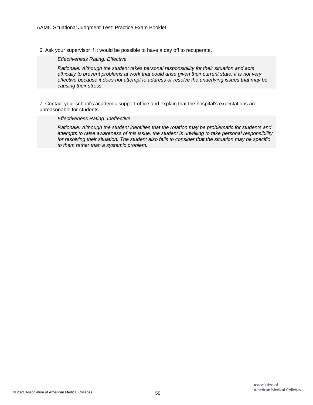6. Ask your supervisor if it would be possible to have a day off to recuperate.

*Effectiveness Rating: Effective*

*Rationale: Although the student takes personal responsibility for their situation and acts ethically to prevent problems at work that could arise given their current state, it is not very effective because it does not attempt to address or resolve the underlying issues that may be causing their stress.*

7. Contact your school's academic support office and explain that the hospital's expectations are unreasonable for students.

#### *Effectiveness Rating: Ineffective*

*Rationale: Although the student identifies that the rotation may be problematic for students and attempts to raise awareness of this issue, the student is unwilling to take personal responsibility for resolving their situation. The student also fails to consider that the situation may be specific to them rather than a systemic problem.*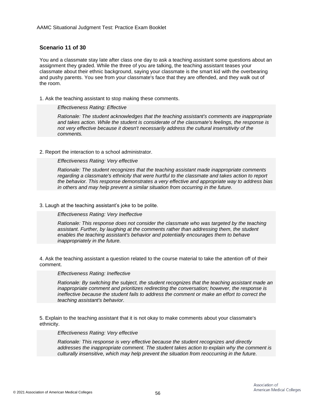# **Scenario 11 of 30**

You and a classmate stay late after class one day to ask a teaching assistant some questions about an assignment they graded. While the three of you are talking, the teaching assistant teases your classmate about their ethnic background, saying your classmate is the smart kid with the overbearing and pushy parents. You see from your classmate's face that they are offended, and they walk out of the room.

1. Ask the teaching assistant to stop making these comments.

#### *Effectiveness Rating: Effective*

*Rationale: The student acknowledges that the teaching assistant's comments are inappropriate and takes action. While the student is considerate of the classmate's feelings, the response is not very effective because it doesn't necessarily address the cultural insensitivity of the comments.*

# 2. Report the interaction to a school administrator.

*Effectiveness Rating: Very effective*

*Rationale: The student recognizes that the teaching assistant made inappropriate comments regarding a classmate's ethnicity that were hurtful to the classmate and takes action to report the behavior. This response demonstrates a very effective and appropriate way to address bias in others and may help prevent a similar situation from occurring in the future.*

### 3. Laugh at the teaching assistant's joke to be polite.

#### *Effectiveness Rating: Very Ineffective*

*Rationale: This response does not consider the classmate who was targeted by the teaching assistant. Further, by laughing at the comments rather than addressing them, the student enables the teaching assistant's behavior and potentially encourages them to behave inappropriately in the future.*

4. Ask the teaching assistant a question related to the course material to take the attention off of their comment.

#### *Effectiveness Rating: Ineffective*

*Rationale: By switching the subject, the student recognizes that the teaching assistant made an inappropriate comment and prioritizes redirecting the conversation; however, the response is ineffective because the student fails to address the comment or make an effort to correct the teaching assistant's behavior.*

5. Explain to the teaching assistant that it is not okay to make comments about your classmate's ethnicity.

### *Effectiveness Rating: Very effective*

*Rationale: This response is very effective because the student recognizes and directly addresses the inappropriate comment. The student takes action to explain why the comment is culturally insensitive, which may help prevent the situation from reoccurring in the future.*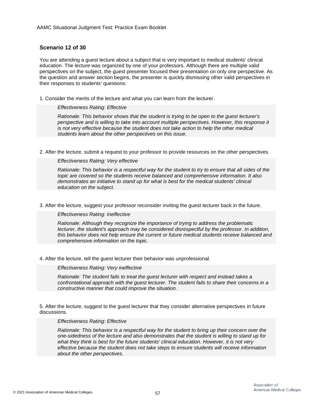# **Scenario 12 of 30**

You are attending a guest lecture about a subject that is very important to medical students' clinical education. The lecture was organized by one of your professors. Although there are multiple valid perspectives on the subject, the guest presenter focused their presentation on only one perspective. As the question and answer section begins, the presenter is quickly dismissing other valid perspectives in their responses to students' questions.

1. Consider the merits of the lecture and what you can learn from the lecturer.

#### *Effectiveness Rating: Effective*

*Rationale: This behavior shows that the student is trying to be open to the guest lecturer's perspective and is willing to take into account multiple perspectives. However, this response it is not very effective because the student does not take action to help the other medical students learn about the other perspectives on this issue.*

2. After the lecture, submit a request to your professor to provide resources on the other perspectives.

*Effectiveness Rating: Very effective*

*Rationale: This behavior is a respectful way for the student to try to ensure that all sides of the topic are covered so the students receive balanced and comprehensive information. It also demonstrates an initiative to stand up for what is best for the medical students' clinical education on the subject.*

3. After the lecture, suggest your professor reconsider inviting the guest lecturer back in the future.

#### *Effectiveness Rating: Ineffective*

*Rationale: Although they recognize the importance of trying to address the problematic lecturer, the student's approach may be considered disrespectful by the professor. In addition, this behavior does not help ensure the current or future medical students receive balanced and comprehensive information on the topic.*

4. After the lecture, tell the guest lecturer their behavior was unprofessional.

#### *Effectiveness Rating: Very ineffective*

*Rationale: The student fails to treat the guest lecturer with respect and instead takes a confrontational approach with the guest lecturer. The student fails to share their concerns in a constructive manner that could improve the situation.*

5. After the lecture, suggest to the guest lecturer that they consider alternative perspectives in future discussions.

# *Effectiveness Rating: Effective*

*Rationale: This behavior is a respectful way for the student to bring up their concern over the one-sidedness of the lecture and also demonstrates that the student is willing to stand up for what they think is best for the future students' clinical education. However, it is not very effective because the student does not take steps to ensure students will receive information about the other perspectives.*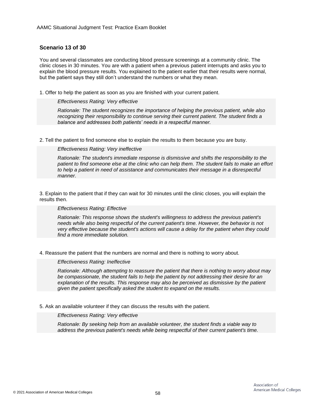# **Scenario 13 of 30**

You and several classmates are conducting blood pressure screenings at a community clinic. The clinic closes in 30 minutes. You are with a patient when a previous patient interrupts and asks you to explain the blood pressure results. You explained to the patient earlier that their results were normal, but the patient says they still don't understand the numbers or what they mean.

1. Offer to help the patient as soon as you are finished with your current patient.

### *Effectiveness Rating: Very effective*

*Rationale: The student recognizes the importance of helping the previous patient, while also recognizing their responsibility to continue serving their current patient. The student finds a balance and addresses both patients' needs in a respectful manner.*

2. Tell the patient to find someone else to explain the results to them because you are busy.

# *Effectiveness Rating: Very ineffective*

*Rationale: The student's immediate response is dismissive and shifts the responsibility to the patient to find someone else at the clinic who can help them. The student fails to make an effort to help a patient in need of assistance and communicates their message in a disrespectful manner.*

3. Explain to the patient that if they can wait for 30 minutes until the clinic closes, you will explain the results then.

#### *Effectiveness Rating: Effective*

*Rationale: This response shows the student's willingness to address the previous patient's needs while also being respectful of the current patient's time. However, the behavior is not very effective because the student's actions will cause a delay for the patient when they could find a more immediate solution.*

4. Reassure the patient that the numbers are normal and there is nothing to worry about.

*Effectiveness Rating: Ineffective*

*Rationale: Although attempting to reassure the patient that there is nothing to worry about may be compassionate, the student fails to help the patient by not addressing their desire for an explanation of the results. This response may also be perceived as dismissive by the patient given the patient specifically asked the student to expand on the results.*

5. Ask an available volunteer if they can discuss the results with the patient.

*Effectiveness Rating: Very effective*

*Rationale: By seeking help from an available volunteer, the student finds a viable way to address the previous patient's needs while being respectful of their current patient's time.*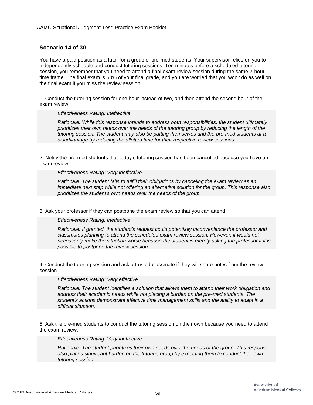# **Scenario 14 of 30**

You have a paid position as a tutor for a group of pre-med students. Your supervisor relies on you to independently schedule and conduct tutoring sessions. Ten minutes before a scheduled tutoring session, you remember that you need to attend a final exam review session during the same 2-hour time frame. The final exam is 50% of your final grade, and you are worried that you won't do as well on the final exam if you miss the review session.

1. Conduct the tutoring session for one hour instead of two, and then attend the second hour of the exam review.

#### *Effectiveness Rating: Ineffective*

*Rationale: While this response intends to address both responsibilities, the student ultimately prioritizes their own needs over the needs of the tutoring group by reducing the length of the tutoring session. The student may also be putting themselves and the pre-med students at a disadvantage by reducing the allotted time for their respective review sessions.*

2. Notify the pre-med students that today's tutoring session has been cancelled because you have an exam review.

#### *Effectiveness Rating: Very ineffective*

*Rationale: The student fails to fulfill their obligations by canceling the exam review as an immediate next step while not offering an alternative solution for the group. This response also prioritizes the student's own needs over the needs of the group.*

3. Ask your professor if they can postpone the exam review so that you can attend.

# *Effectiveness Rating: Ineffective*

*Rationale: If granted, the student's request could potentially inconvenience the professor and classmates planning to attend the scheduled exam review session. However, it would not necessarily make the situation worse because the student is merely asking the professor if it is possible to postpone the review session.*

4. Conduct the tutoring session and ask a trusted classmate if they will share notes from the review session.

# *Effectiveness Rating: Very effective*

*Rationale: The student identifies a solution that allows them to attend their work obligation and address their academic needs while not placing a burden on the pre-med students. The student's actions demonstrate effective time management skills and the ability to adapt in a difficult situation.*

5. Ask the pre-med students to conduct the tutoring session on their own because you need to attend the exam review.

#### *Effectiveness Rating: Very ineffective*

*Rationale: The student prioritizes their own needs over the needs of the group. This response also places significant burden on the tutoring group by expecting them to conduct their own tutoring session.*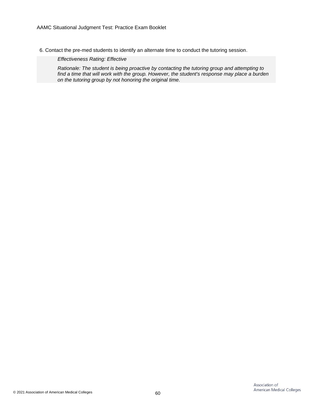6. Contact the pre-med students to identify an alternate time to conduct the tutoring session.

*Effectiveness Rating: Effective*

*Rationale: The student is being proactive by contacting the tutoring group and attempting to find a time that will work with the group. However, the student's response may place a burden on the tutoring group by not honoring the original time.*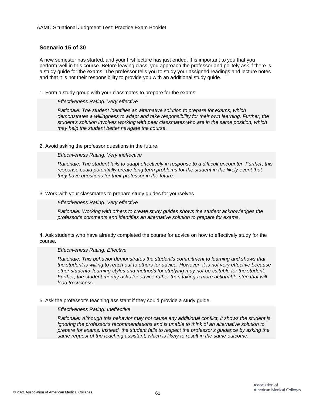# **Scenario 15 of 30**

A new semester has started, and your first lecture has just ended. It is important to you that you perform well in this course. Before leaving class, you approach the professor and politely ask if there is a study guide for the exams. The professor tells you to study your assigned readings and lecture notes and that it is not their responsibility to provide you with an additional study guide.

1. Form a study group with your classmates to prepare for the exams.

# *Effectiveness Rating: Very effective*

*Rationale: The student identifies an alternative solution to prepare for exams, which demonstrates a willingness to adapt and take responsibility for their own learning. Further, the student's solution involves working with peer classmates who are in the same position, which may help the student better navigate the course.*

# 2. Avoid asking the professor questions in the future.

*Effectiveness Rating: Very ineffective*

*Rationale: The student fails to adapt effectively in response to a difficult encounter. Further, this response could potentially create long term problems for the student in the likely event that they have questions for their professor in the future.*

# 3. Work with your classmates to prepare study guides for yourselves.

*Effectiveness Rating: Very effective*

*Rationale: Working with others to create study guides shows the student acknowledges the professor's comments and identifies an alternative solution to prepare for exams.*

4. Ask students who have already completed the course for advice on how to effectively study for the course.

### *Effectiveness Rating: Effective*

*Rationale: This behavior demonstrates the student's commitment to learning and shows that the student is willing to reach out to others for advice. However, it is not very effective because other students' learning styles and methods for studying may not be suitable for the student. Further, the student merely asks for advice rather than taking a more actionable step that will lead to success.*

5. Ask the professor's teaching assistant if they could provide a study guide.

# *Effectiveness Rating: Ineffective*

*Rationale: Although this behavior may not cause any additional conflict, it shows the student is ignoring the professor's recommendations and is unable to think of an alternative solution to prepare for exams. Instead, the student fails to respect the professor's guidance by asking the same request of the teaching assistant, which is likely to result in the same outcome.*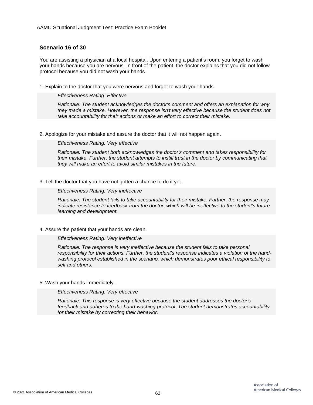# **Scenario 16 of 30**

You are assisting a physician at a local hospital. Upon entering a patient's room, you forget to wash your hands because you are nervous. In front of the patient, the doctor explains that you did not follow protocol because you did not wash your hands.

1. Explain to the doctor that you were nervous and forgot to wash your hands.

*Effectiveness Rating: Effective*

*Rationale: The student acknowledges the doctor's comment and offers an explanation for why they made a mistake. However, the response isn't very effective because the student does not take accountability for their actions or make an effort to correct their mistake.*

2. Apologize for your mistake and assure the doctor that it will not happen again.

*Effectiveness Rating: Very effective*

*Rationale: The student both acknowledges the doctor's comment and takes responsibility for their mistake. Further, the student attempts to instill trust in the doctor by communicating that they will make an effort to avoid similar mistakes in the future.*

#### 3. Tell the doctor that you have not gotten a chance to do it yet.

*Effectiveness Rating: Very ineffective*

*Rationale: The student fails to take accountability for their mistake. Further, the response may indicate resistance to feedback from the doctor, which will be ineffective to the student's future learning and development.*

# 4. Assure the patient that your hands are clean.

*Effectiveness Rating: Very ineffective*

*Rationale: The response is very ineffective because the student fails to take personal responsibility for their actions. Further, the student's response indicates a violation of the handwashing protocol established in the scenario, which demonstrates poor ethical responsibility to self and others.*

# 5. Wash your hands immediately.

*Effectiveness Rating: Very effective*

*Rationale: This response is very effective because the student addresses the doctor's feedback and adheres to the hand-washing protocol. The student demonstrates accountability for their mistake by correcting their behavior.*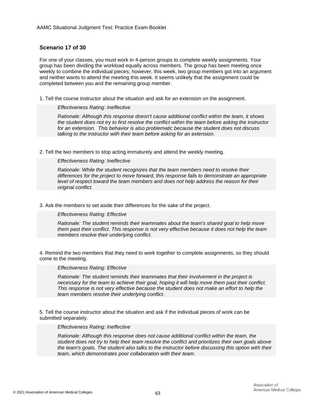# **Scenario 17 of 30**

For one of your classes, you must work in 4-person groups to complete weekly assignments. Your group has been dividing the workload equally across members. The group has been meeting once weekly to combine the individual pieces; however, this week, two group members got into an argument and neither wants to attend the meeting this week. It seems unlikely that the assignment could be completed between you and the remaining group member.

1. Tell the course instructor about the situation and ask for an extension on the assignment.

#### *Effectiveness Rating: Ineffective*

*Rationale: Although this response doesn't cause additional conflict within the team, it shows the student does not try to first resolve the conflict within the team before asking the instructor for an extension. This behavior is also problematic because the student does not discuss talking to the instructor with their team before asking for an extension.*

2. Tell the two members to stop acting immaturely and attend the weekly meeting.

*Effectiveness Rating: Ineffective*

*Rationale: While the student recognizes that the team members need to resolve their differences for the project to move forward, this response fails to demonstrate an appropriate level of respect toward the team members and does not help address the reason for their original conflict.*

3. Ask the members to set aside their differences for the sake of the project.

# *Effectiveness Rating: Effective*

*Rationale: The student reminds their teammates about the team's shared goal to help move them past their conflict. This response is not very effective because it does not help the team members resolve their underlying conflict.*

4. Remind the two members that they need to work together to complete assignments, so they should come to the meeting.

#### *Effectiveness Rating: Effective*

*Rationale: The student reminds their teammates that their involvement in the project is necessary for the team to achieve their goal, hoping it will help move them past their conflict. This response is not very effective because the student does not make an effort to help the team members resolve their underlying conflict.*

5. Tell the course instructor about the situation and ask if the individual pieces of work can be submitted separately.

### *Effectiveness Rating: Ineffective*

*Rationale: Although this response does not cause additional conflict within the team, the student does not try to help their team resolve the conflict and prioritizes their own goals above the team's goals. The student also talks to the instructor before discussing this option with their team, which demonstrates poor collaboration with their team.*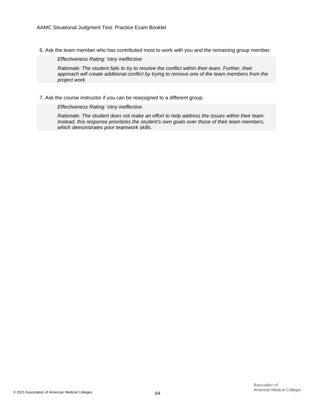6. Ask the team member who has contributed most to work with you and the remaining group member.

*Effectiveness Rating: Very ineffective*

*Rationale: The student fails to try to resolve the conflict within their team. Further, their approach will create additional conflict by trying to remove one of the team members from the project work.*

7. Ask the course instructor if you can be reassigned to a different group.

*Effectiveness Rating: Very ineffective*

*Rationale: The student does not make an effort to help address the issues within their team. Instead, this response prioritizes the student's own goals over those of their team members, which demonstrates poor teamwork skills.*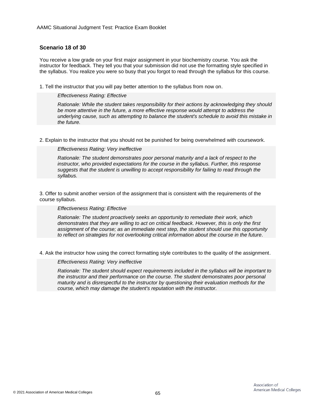# **Scenario 18 of 30**

You receive a low grade on your first major assignment in your biochemistry course. You ask the instructor for feedback. They tell you that your submission did not use the formatting style specified in the syllabus. You realize you were so busy that you forgot to read through the syllabus for this course.

1. Tell the instructor that you will pay better attention to the syllabus from now on.

*Effectiveness Rating: Effective*

*Rationale: While the student takes responsibility for their actions by acknowledging they should be more attentive in the future, a more effective response would attempt to address the underlying cause, such as attempting to balance the student's schedule to avoid this mistake in the future.*

2. Explain to the instructor that you should not be punished for being overwhelmed with coursework.

### *Effectiveness Rating: Very ineffective*

*Rationale: The student demonstrates poor personal maturity and a lack of respect to the instructor, who provided expectations for the course in the syllabus. Further, this response suggests that the student is unwilling to accept responsibility for failing to read through the syllabus.*

3. Offer to submit another version of the assignment that is consistent with the requirements of the course syllabus.

#### *Effectiveness Rating: Effective*

*Rationale: The student proactively seeks an opportunity to remediate their work, which demonstrates that they are willing to act on critical feedback. However, this is only the first assignment of the course; as an immediate next step, the student should use this opportunity to reflect on strategies for not overlooking critical information about the course in the future.*

4. Ask the instructor how using the correct formatting style contributes to the quality of the assignment.

*Effectiveness Rating: Very ineffective*

*Rationale: The student should expect requirements included in the syllabus will be important to the instructor and their performance on the course. The student demonstrates poor personal maturity and is disrespectful to the instructor by questioning their evaluation methods for the course, which may damage the student's reputation with the instructor.*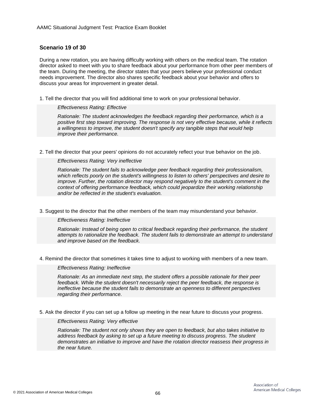# **Scenario 19 of 30**

During a new rotation, you are having difficulty working with others on the medical team. The rotation director asked to meet with you to share feedback about your performance from other peer members of the team. During the meeting, the director states that your peers believe your professional conduct needs improvement. The director also shares specific feedback about your behavior and offers to discuss your areas for improvement in greater detail.

1. Tell the director that you will find additional time to work on your professional behavior.

# *Effectiveness Rating: Effective*

*Rationale: The student acknowledges the feedback regarding their performance, which is a positive first step toward improving. The response is not very effective because, while it reflects a willingness to improve, the student doesn't specify any tangible steps that would help improve their performance.*

2. Tell the director that your peers' opinions do not accurately reflect your true behavior on the job.

### *Effectiveness Rating: Very ineffective*

*Rationale: The student fails to acknowledge peer feedback regarding their professionalism, which reflects poorly on the student's willingness to listen to others' perspectives and desire to improve. Further, the rotation director may respond negatively to the student's comment in the context of offering performance feedback, which could jeopardize their working relationship and/or be reflected in the student's evaluation.*

3. Suggest to the director that the other members of the team may misunderstand your behavior.

# *Effectiveness Rating: Ineffective*

*Rationale: Instead of being open to critical feedback regarding their performance, the student attempts to rationalize the feedback. The student fails to demonstrate an attempt to understand and improve based on the feedback.*

4. Remind the director that sometimes it takes time to adjust to working with members of a new team.

# *Effectiveness Rating: Ineffective*

*Rationale: As an immediate next step, the student offers a possible rationale for their peer feedback. While the student doesn't necessarily reject the peer feedback, the response is ineffective because the student fails to demonstrate an openness to different perspectives regarding their performance.*

5. Ask the director if you can set up a follow up meeting in the near future to discuss your progress.

### *Effectiveness Rating: Very effective*

*Rationale: The student not only shows they are open to feedback, but also takes initiative to address feedback by asking to set up a future meeting to discuss progress. The student demonstrates an initiative to improve and have the rotation director reassess their progress in the near future.*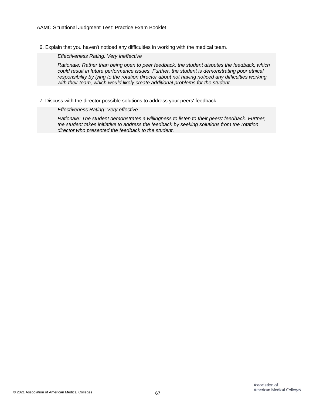6. Explain that you haven't noticed any difficulties in working with the medical team.

*Effectiveness Rating: Very ineffective*

*Rationale: Rather than being open to peer feedback, the student disputes the feedback, which could result in future performance issues. Further, the student is demonstrating poor ethical responsibility by lying to the rotation director about not having noticed any difficulties working with their team, which would likely create additional problems for the student.*

7. Discuss with the director possible solutions to address your peers' feedback.

*Effectiveness Rating: Very effective*

*Rationale: The student demonstrates a willingness to listen to their peers' feedback. Further, the student takes initiative to address the feedback by seeking solutions from the rotation director who presented the feedback to the student.*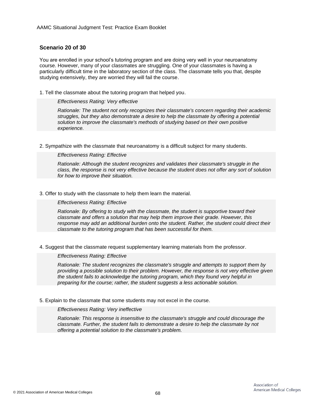# **Scenario 20 of 30**

You are enrolled in your school's tutoring program and are doing very well in your neuroanatomy course. However, many of your classmates are struggling. One of your classmates is having a particularly difficult time in the laboratory section of the class. The classmate tells you that, despite studying extensively, they are worried they will fail the course.

1. Tell the classmate about the tutoring program that helped you.

### *Effectiveness Rating: Very effective*

*Rationale: The student not only recognizes their classmate's concern regarding their academic struggles, but they also demonstrate a desire to help the classmate by offering a potential solution to improve the classmate's methods of studying based on their own positive experience.*

2. Sympathize with the classmate that neuroanatomy is a difficult subject for many students.

# *Effectiveness Rating: Effective*

*Rationale: Although the student recognizes and validates their classmate's struggle in the class, the response is not very effective because the student does not offer any sort of solution for how to improve their situation.*

#### 3. Offer to study with the classmate to help them learn the material.

#### *Effectiveness Rating: Effective*

*Rationale: By offering to study with the classmate, the student is supportive toward their classmate and offers a solution that may help them improve their grade. However, this response may add an additional burden onto the student. Rather, the student could direct their classmate to the tutoring program that has been successful for them.*

4. Suggest that the classmate request supplementary learning materials from the professor.

# *Effectiveness Rating: Effective*

*Rationale: The student recognizes the classmate's struggle and attempts to support them by providing a possible solution to their problem. However, the response is not very effective given the student fails to acknowledge the tutoring program, which they found very helpful in preparing for the course; rather, the student suggests a less actionable solution.*

5. Explain to the classmate that some students may not excel in the course.

#### *Effectiveness Rating: Very ineffective*

*Rationale: This response is insensitive to the classmate's struggle and could discourage the classmate. Further, the student fails to demonstrate a desire to help the classmate by not offering a potential solution to the classmate's problem.*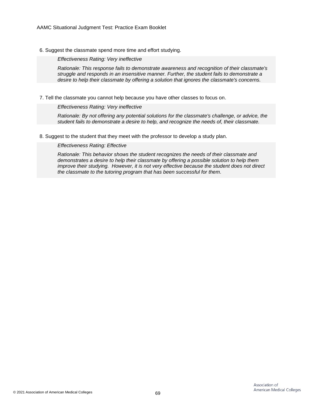6. Suggest the classmate spend more time and effort studying.

*Effectiveness Rating: Very ineffective*

*Rationale: This response fails to demonstrate awareness and recognition of their classmate's struggle and responds in an insensitive manner. Further, the student fails to demonstrate a desire to help their classmate by offering a solution that ignores the classmate's concerns.*

7. Tell the classmate you cannot help because you have other classes to focus on.

*Effectiveness Rating: Very ineffective*

*Rationale: By not offering any potential solutions for the classmate's challenge, or advice, the student fails to demonstrate a desire to help, and recognize the needs of, their classmate.*

8. Suggest to the student that they meet with the professor to develop a study plan.

*Effectiveness Rating: Effective*

*Rationale: This behavior shows the student recognizes the needs of their classmate and demonstrates a desire to help their classmate by offering a possible solution to help them improve their studying. However, it is not very effective because the student does not direct the classmate to the tutoring program that has been successful for them.*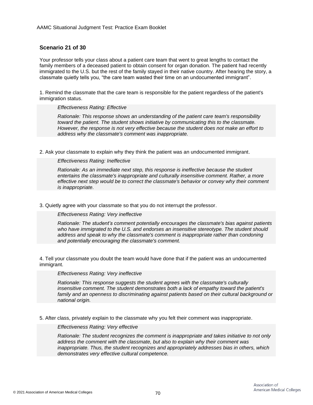# **Scenario 21 of 30**

Your professor tells your class about a patient care team that went to great lengths to contact the family members of a deceased patient to obtain consent for organ donation. The patient had recently immigrated to the U.S. but the rest of the family stayed in their native country. After hearing the story, a classmate quietly tells you, "the care team wasted their time on an undocumented immigrant".

1. Remind the classmate that the care team is responsible for the patient regardless of the patient's immigration status.

#### *Effectiveness Rating: Effective*

*Rationale: This response shows an understanding of the patient care team's responsibility toward the patient. The student shows initiative by communicating this to the classmate. However, the response is not very effective because the student does not make an effort to address why the classmate's comment was inappropriate.*

2. Ask your classmate to explain why they think the patient was an undocumented immigrant.

*Effectiveness Rating: Ineffective*

*Rationale: As an immediate next step, this response is ineffective because the student entertains the classmate's inappropriate and culturally insensitive comment. Rather, a more effective next step would be to correct the classmate's behavior or convey why their comment is inappropriate.*

3. Quietly agree with your classmate so that you do not interrupt the professor.

*Effectiveness Rating: Very ineffective*

*Rationale: The student's comment potentially encourages the classmate's bias against patients who have immigrated to the U.S. and endorses an insensitive stereotype. The student should address and speak to why the classmate's comment is inappropriate rather than condoning and potentially encouraging the classmate's comment.*

4. Tell your classmate you doubt the team would have done that if the patient was an undocumented immigrant.

*Effectiveness Rating: Very ineffective*

*Rationale: This response suggests the student agrees with the classmate's culturally insensitive comment. The student demonstrates both a lack of empathy toward the patient's family and an openness to discriminating against patients based on their cultural background or national origin.*

5. After class, privately explain to the classmate why you felt their comment was inappropriate.

*Effectiveness Rating: Very effective*

*Rationale: The student recognizes the comment is inappropriate and takes initiative to not only address the comment with the classmate, but also to explain why their comment was inappropriate. Thus, the student recognizes and appropriately addresses bias in others, which demonstrates very effective cultural competence.*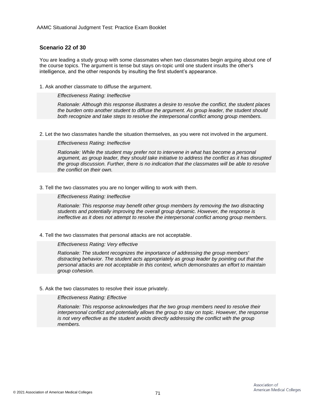# **Scenario 22 of 30**

You are leading a study group with some classmates when two classmates begin arguing about one of the course topics. The argument is tense but stays on-topic until one student insults the other's intelligence, and the other responds by insulting the first student's appearance.

1. Ask another classmate to diffuse the argument.

*Effectiveness Rating: Ineffective*

*Rationale: Although this response illustrates a desire to resolve the conflict, the student places the burden onto another student to diffuse the argument. As group leader, the student should both recognize and take steps to resolve the interpersonal conflict among group members.*

2. Let the two classmates handle the situation themselves, as you were not involved in the argument.

*Effectiveness Rating: Ineffective*

*Rationale: While the student may prefer not to intervene in what has become a personal argument, as group leader, they should take initiative to address the conflict as it has disrupted the group discussion. Further, there is no indication that the classmates will be able to resolve the conflict on their own.*

3. Tell the two classmates you are no longer willing to work with them.

*Effectiveness Rating: Ineffective*

*Rationale: This response may benefit other group members by removing the two distracting students and potentially improving the overall group dynamic. However, the response is ineffective as it does not attempt to resolve the interpersonal conflict among group members.*

4. Tell the two classmates that personal attacks are not acceptable.

*Effectiveness Rating: Very effective*

*Rationale: The student recognizes the importance of addressing the group members' distracting behavior. The student acts appropriately as group leader by pointing out that the personal attacks are not acceptable in this context, which demonstrates an effort to maintain group cohesion.*

5. Ask the two classmates to resolve their issue privately.

*Effectiveness Rating: Effective*

*Rationale: This response acknowledges that the two group members need to resolve their interpersonal conflict and potentially allows the group to stay on topic. However, the response is not very effective as the student avoids directly addressing the conflict with the group members.*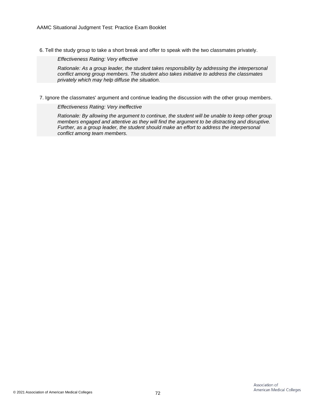6. Tell the study group to take a short break and offer to speak with the two classmates privately.

*Effectiveness Rating: Very effective*

*Rationale: As a group leader, the student takes responsibility by addressing the interpersonal conflict among group members. The student also takes initiative to address the classmates privately which may help diffuse the situation.*

7. Ignore the classmates' argument and continue leading the discussion with the other group members.

*Effectiveness Rating: Very ineffective*

*Rationale: By allowing the argument to continue, the student will be unable to keep other group members engaged and attentive as they will find the argument to be distracting and disruptive. Further, as a group leader, the student should make an effort to address the interpersonal conflict among team members.*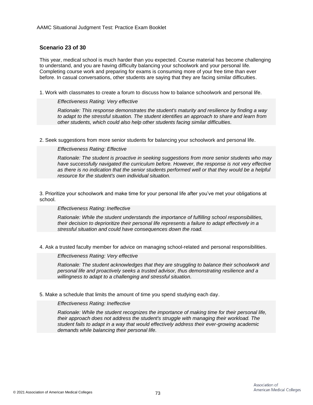# **Scenario 23 of 30**

This year, medical school is much harder than you expected. Course material has become challenging to understand, and you are having difficulty balancing your schoolwork and your personal life. Completing course work and preparing for exams is consuming more of your free time than ever before. In casual conversations, other students are saying that they are facing similar difficulties.

1. Work with classmates to create a forum to discuss how to balance schoolwork and personal life.

## *Effectiveness Rating: Very effective*

*Rationale: This response demonstrates the student's maturity and resilience by finding a way to adapt to the stressful situation. The student identifies an approach to share and learn from other students, which could also help other students facing similar difficulties.*

2. Seek suggestions from more senior students for balancing your schoolwork and personal life.

# *Effectiveness Rating: Effective*

*Rationale: The student is proactive in seeking suggestions from more senior students who may have successfully navigated the curriculum before. However, the response is not very effective as there is no indication that the senior students performed well or that they would be a helpful resource for the student's own individual situation.*

3. Prioritize your schoolwork and make time for your personal life after you've met your obligations at school.

# *Effectiveness Rating: Ineffective*

*Rationale: While the student understands the importance of fulfilling school responsibilities, their decision to deprioritize their personal life represents a failure to adapt effectively in a stressful situation and could have consequences down the road.*

4. Ask a trusted faculty member for advice on managing school-related and personal responsibilities.

# *Effectiveness Rating: Very effective*

*Rationale: The student acknowledges that they are struggling to balance their schoolwork and personal life and proactively seeks a trusted advisor, thus demonstrating resilience and a willingness to adapt to a challenging and stressful situation.*

5. Make a schedule that limits the amount of time you spend studying each day.

# *Effectiveness Rating: Ineffective*

*Rationale: While the student recognizes the importance of making time for their personal life, their approach does not address the student's struggle with managing their workload. The student fails to adapt in a way that would effectively address their ever-growing academic demands while balancing their personal life.*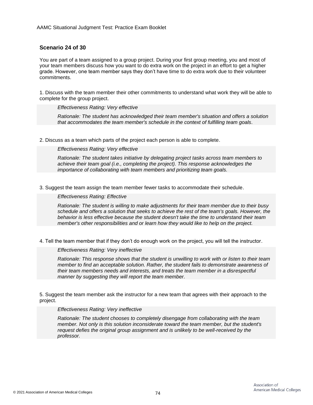# **Scenario 24 of 30**

You are part of a team assigned to a group project. During your first group meeting, you and most of your team members discuss how you want to do extra work on the project in an effort to get a higher grade. However, one team member says they don't have time to do extra work due to their volunteer commitments.

1. Discuss with the team member their other commitments to understand what work they will be able to complete for the group project.

*Effectiveness Rating: Very effective*

*Rationale: The student has acknowledged their team member's situation and offers a solution that accommodates the team member's schedule in the context of fulfilling team goals.*

2. Discuss as a team which parts of the project each person is able to complete.

*Effectiveness Rating: Very effective*

*Rationale: The student takes initiative by delegating project tasks across team members to achieve their team goal (i.e., completing the project). This response acknowledges the importance of collaborating with team members and prioritizing team goals.*

3. Suggest the team assign the team member fewer tasks to accommodate their schedule.

*Effectiveness Rating: Effective*

*Rationale: The student is willing to make adjustments for their team member due to their busy schedule and offers a solution that seeks to achieve the rest of the team's goals. However, the behavior is less effective because the student doesn't take the time to understand their team member's other responsibilities and or learn how they would like to help on the project.*

4. Tell the team member that if they don't do enough work on the project, you will tell the instructor.

*Effectiveness Rating: Very ineffective*

*Rationale: This response shows that the student is unwilling to work with or listen to their team member to find an acceptable solution. Rather, the student fails to demonstrate awareness of their team members needs and interests, and treats the team member in a disrespectful manner by suggesting they will report the team member.*

5. Suggest the team member ask the instructor for a new team that agrees with their approach to the project.

### *Effectiveness Rating: Very ineffective*

*Rationale: The student chooses to completely disengage from collaborating with the team member. Not only is this solution inconsiderate toward the team member, but the student's request defies the original group assignment and is unlikely to be well-received by the professor.*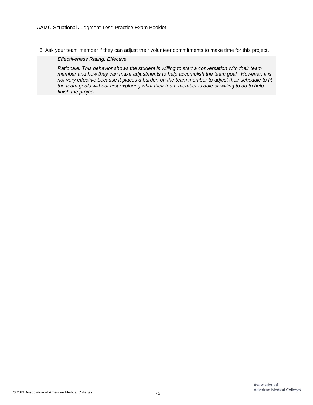6. Ask your team member if they can adjust their volunteer commitments to make time for this project.

*Effectiveness Rating: Effective*

*Rationale: This behavior shows the student is willing to start a conversation with their team member and how they can make adjustments to help accomplish the team goal. However, it is not very effective because it places a burden on the team member to adjust their schedule to fit the team goals without first exploring what their team member is able or willing to do to help finish the project.*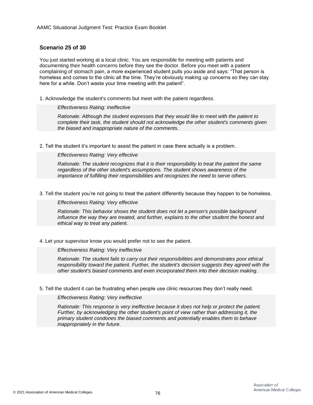# **Scenario 25 of 30**

You just started working at a local clinic. You are responsible for meeting with patients and documenting their health concerns before they see the doctor. Before you meet with a patient complaining of stomach pain, a more experienced student pulls you aside and says: "That person is homeless and comes to the clinic all the time. They're obviously making up concerns so they can stay here for a while. Don't waste your time meeting with the patient".

1. Acknowledge the student's comments but meet with the patient regardless.

### *Effectiveness Rating: Ineffective*

*Rationale: Although the student expresses that they would like to meet with the patient to complete their task, the student should not acknowledge the other student's comments given the biased and inappropriate nature of the comments.*

2. Tell the student it's important to assist the patient in case there actually is a problem.

# *Effectiveness Rating: Very effective*

*Rationale: The student recognizes that it is their responsibility to treat the patient the same regardless of the other student's assumptions. The student shows awareness of the importance of fulfilling their responsibilities and recognizes the need to serve others.*

3. Tell the student you're not going to treat the patient differently because they happen to be homeless.

### *Effectiveness Rating: Very effective*

*Rationale: This behavior shows the student does not let a person's possible background influence the way they are treated, and further, explains to the other student the honest and ethical way to treat any patient.*

# 4. Let your supervisor know you would prefer not to see the patient.

### *Effectiveness Rating: Very ineffective*

*Rationale: The student fails to carry out their responsibilities and demonstrates poor ethical responsibility toward the patient. Further, the student's decision suggests they agreed with the other student's biased comments and even incorporated them into their decision making.*

# 5. Tell the student it can be frustrating when people use clinic resources they don't really need.

# *Effectiveness Rating: Very ineffective*

*Rationale: This response is very ineffective because it does not help or protect the patient. Further, by acknowledging the other student's point of view rather than addressing it, the primary student condones the biased comments and potentially enables them to behave inappropriately in the future.*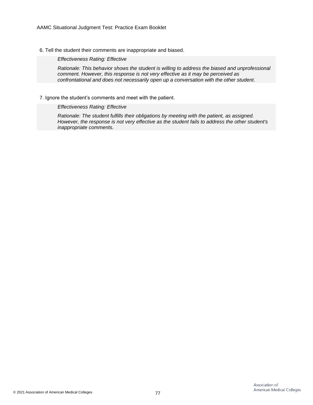6. Tell the student their comments are inappropriate and biased.

*Effectiveness Rating: Effective*

*Rationale: This behavior shows the student is willing to address the biased and unprofessional comment. However, this response is not very effective as it may be perceived as confrontational and does not necessarily open up a conversation with the other student.*

## 7. Ignore the student's comments and meet with the patient.

# *Effectiveness Rating: Effective*

*Rationale: The student fulfills their obligations by meeting with the patient, as assigned. However, the response is not very effective as the student fails to address the other student's inappropriate comments.*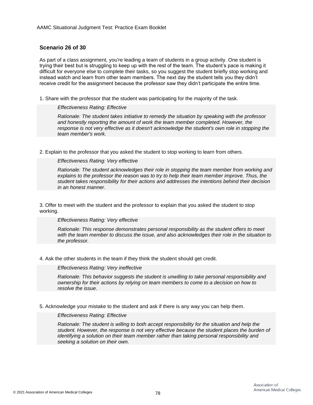# **Scenario 26 of 30**

As part of a class assignment, you're leading a team of students in a group activity. One student is trying their best but is struggling to keep up with the rest of the team. The student's pace is making it difficult for everyone else to complete their tasks, so you suggest the student briefly stop working and instead watch and learn from other team members. The next day the student tells you they didn't receive credit for the assignment because the professor saw they didn't participate the entire time.

1. Share with the professor that the student was participating for the majority of the task.

# *Effectiveness Rating: Effective*

*Rationale: The student takes initiative to remedy the situation by speaking with the professor and honestly reporting the amount of work the team member completed. However, the response is not very effective as it doesn't acknowledge the student's own role in stopping the team member's work.*

2. Explain to the professor that you asked the student to stop working to learn from others.

## *Effectiveness Rating: Very effective*

*Rationale: The student acknowledges their role in stopping the team member from working and explains to the professor the reason was to try to help their team member improve. Thus, the student takes responsibility for their actions and addresses the intentions behind their decision in an honest manner.*

3. Offer to meet with the student and the professor to explain that you asked the student to stop working.

# *Effectiveness Rating: Very effective*

*Rationale: This response demonstrates personal responsibility as the student offers to meet with the team member to discuss the issue, and also acknowledges their role in the situation to the professor.*

4. Ask the other students in the team if they think the student should get credit.

### *Effectiveness Rating: Very ineffective*

*Rationale: This behavior suggests the student is unwilling to take personal responsibility and ownership for their actions by relying on team members to come to a decision on how to resolve the issue.*

5. Acknowledge your mistake to the student and ask if there is any way you can help them.

# *Effectiveness Rating: Effective*

*Rationale: The student is willing to both accept responsibility for the situation and help the student. However, the response is not very effective because the student places the burden of identifying a solution on their team member rather than taking personal responsibility and seeking a solution on their own.*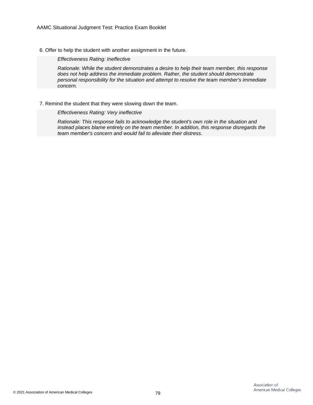6. Offer to help the student with another assignment in the future.

*Effectiveness Rating: Ineffective*

*Rationale: While the student demonstrates a desire to help their team member, this response does not help address the immediate problem. Rather, the student should demonstrate personal responsibility for the situation and attempt to resolve the team member's immediate concern.*

### 7. Remind the student that they were slowing down the team.

*Effectiveness Rating: Very ineffective*

*Rationale: This response fails to acknowledge the student's own role in the situation and instead places blame entirely on the team member. In addition, this response disregards the team member's concern and would fail to alleviate their distress.*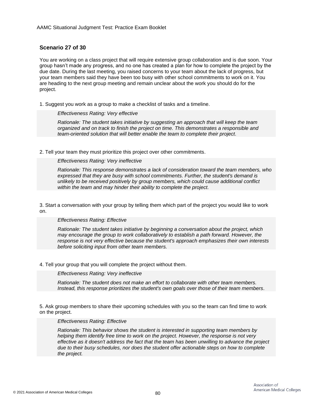# **Scenario 27 of 30**

You are working on a class project that will require extensive group collaboration and is due soon. Your group hasn't made any progress, and no one has created a plan for how to complete the project by the due date. During the last meeting, you raised concerns to your team about the lack of progress, but your team members said they have been too busy with other school commitments to work on it. You are heading to the next group meeting and remain unclear about the work you should do for the project.

1. Suggest you work as a group to make a checklist of tasks and a timeline.

# *Effectiveness Rating: Very effective*

*Rationale: The student takes initiative by suggesting an approach that will keep the team organized and on track to finish the project on time. This demonstrates a responsible and team-oriented solution that will better enable the team to complete their project.*

2. Tell your team they must prioritize this project over other commitments.

*Effectiveness Rating: Very ineffective*

*Rationale: This response demonstrates a lack of consideration toward the team members, who expressed that they are busy with school commitments. Further, the student's demand is unlikely to be received positively by group members, which could cause additional conflict within the team and may hinder their ability to complete the project.*

3. Start a conversation with your group by telling them which part of the project you would like to work on.

# *Effectiveness Rating: Effective*

*Rationale: The student takes initiative by beginning a conversation about the project, which may encourage the group to work collaboratively to establish a path forward. However, the response is not very effective because the student's approach emphasizes their own interests before soliciting input from other team members.*

4. Tell your group that you will complete the project without them.

*Effectiveness Rating: Very ineffective*

*Rationale: The student does not make an effort to collaborate with other team members. Instead, this response prioritizes the student's own goals over those of their team members.*

5. Ask group members to share their upcoming schedules with you so the team can find time to work on the project.

# *Effectiveness Rating: Effective*

*Rationale: This behavior shows the student is interested in supporting team members by helping them identify free time to work on the project. However, the response is not very effective as it doesn't address the fact that the team has been unwilling to advance the project due to their busy schedules, nor does the student offer actionable steps on how to complete the project.*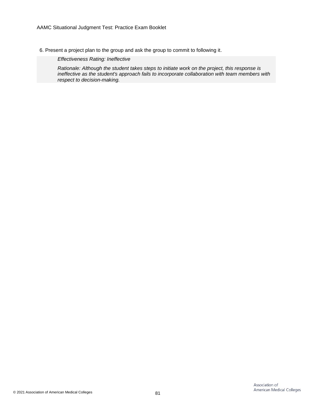6. Present a project plan to the group and ask the group to commit to following it.

*Effectiveness Rating: Ineffective*

*Rationale: Although the student takes steps to initiate work on the project, this response is ineffective as the student's approach fails to incorporate collaboration with team members with respect to decision-making.*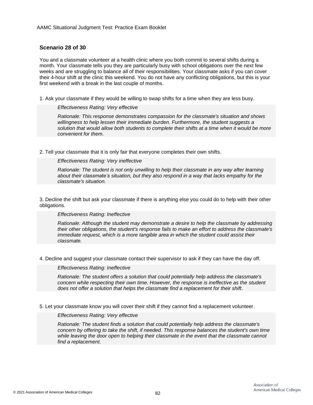# **Scenario 28 of 30**

You and a classmate volunteer at a health clinic where you both commit to several shifts during a month. Your classmate tells you they are particularly busy with school obligations over the next few weeks and are struggling to balance all of their responsibilities. Your classmate asks if you can cover their 4-hour shift at the clinic this weekend. You do not have any conflicting obligations, but this is your first weekend with a break in the last couple of months.

1. Ask your classmate if they would be willing to swap shifts for a time when they are less busy.

### *Effectiveness Rating: Very effective*

*Rationale: This response demonstrates compassion for the classmate's situation and shows willingness to help lessen their immediate burden. Furthermore, the student suggests a solution that would allow both students to complete their shifts at a time when it would be more convenient for them.*

2. Tell your classmate that it is only fair that everyone completes their own shifts.

# *Effectiveness Rating: Very ineffective*

*Rationale: The student is not only unwilling to help their classmate in any way after learning about their classmate's situation, but they also respond in a way that lacks empathy for the classmate's situation.*

3. Decline the shift but ask your classmate if there is anything else you could do to help with their other obligations.

### *Effectiveness Rating: Ineffective*

*Rationale: Although the student may demonstrate a desire to help the classmate by addressing their other obligations, the student's response fails to make an effort to address the classmate's immediate request, which is a more tangible area in which the student could assist their classmate.*

4. Decline and suggest your classmate contact their supervisor to ask if they can have the day off.

# *Effectiveness Rating: Ineffective*

*Rationale: The student offers a solution that could potentially help address the classmate's concern while respecting their own time. However, the response is ineffective as the student does not offer a solution that helps the classmate find a replacement for their shift.*

5. Let your classmate know you will cover their shift if they cannot find a replacement volunteer.

# *Effectiveness Rating: Very effective*

*Rationale: The student finds a solution that could potentially help address the classmate's concern by offering to take the shift, if needed. This response balances the student's own time while leaving the door open to helping their classmate in the event that the classmate cannot find a replacement.*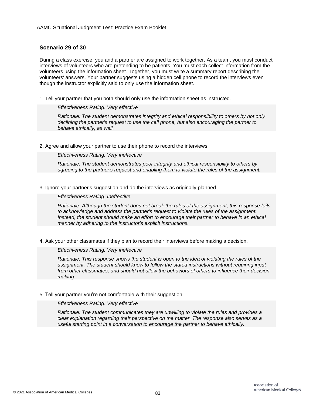# **Scenario 29 of 30**

During a class exercise, you and a partner are assigned to work together. As a team, you must conduct interviews of volunteers who are pretending to be patients. You must each collect information from the volunteers using the information sheet. Together, you must write a summary report describing the volunteers' answers. Your partner suggests using a hidden cell phone to record the interviews even though the instructor explicitly said to only use the information sheet.

1. Tell your partner that you both should only use the information sheet as instructed.

### *Effectiveness Rating: Very effective*

*Rationale: The student demonstrates integrity and ethical responsibility to others by not only declining the partner's request to use the cell phone, but also encouraging the partner to behave ethically, as well.*

2. Agree and allow your partner to use their phone to record the interviews.

### *Effectiveness Rating: Very ineffective*

*Rationale: The student demonstrates poor integrity and ethical responsibility to others by agreeing to the partner's request and enabling them to violate the rules of the assignment.*

3. Ignore your partner's suggestion and do the interviews as originally planned.

## *Effectiveness Rating: Ineffective*

*Rationale: Although the student does not break the rules of the assignment, this response fails to acknowledge and address the partner's request to violate the rules of the assignment. Instead, the student should make an effort to encourage their partner to behave in an ethical manner by adhering to the instructor's explicit instructions.*

4. Ask your other classmates if they plan to record their interviews before making a decision.

### *Effectiveness Rating: Very ineffective*

*Rationale: This response shows the student is open to the idea of violating the rules of the assignment. The student should know to follow the stated instructions without requiring input from other classmates, and should not allow the behaviors of others to influence their decision making.*

### 5. Tell your partner you're not comfortable with their suggestion.

### *Effectiveness Rating: Very effective*

*Rationale: The student communicates they are unwilling to violate the rules and provides a clear explanation regarding their perspective on the matter. The response also serves as a useful starting point in a conversation to encourage the partner to behave ethically.*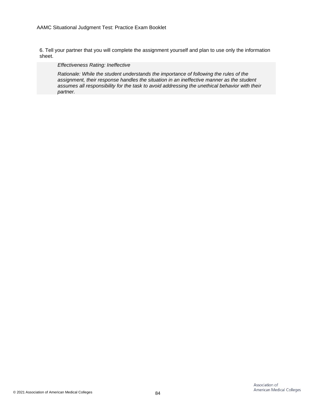6. Tell your partner that you will complete the assignment yourself and plan to use only the information sheet.

*Effectiveness Rating: Ineffective*

*Rationale: While the student understands the importance of following the rules of the assignment, their response handles the situation in an ineffective manner as the student assumes all responsibility for the task to avoid addressing the unethical behavior with their partner.*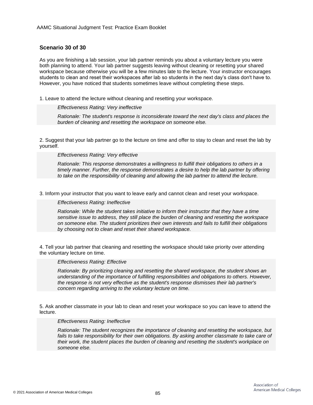# **Scenario 30 of 30**

As you are finishing a lab session, your lab partner reminds you about a voluntary lecture you were both planning to attend. Your lab partner suggests leaving without cleaning or resetting your shared workspace because otherwise you will be a few minutes late to the lecture. Your instructor encourages students to clean and reset their workspaces after lab so students in the next day's class don't have to. However, you have noticed that students sometimes leave without completing these steps.

1. Leave to attend the lecture without cleaning and resetting your workspace.

### *Effectiveness Rating: Very ineffective*

*Rationale: The student's response is inconsiderate toward the next day's class and places the burden of cleaning and resetting the workspace on someone else.*

2. Suggest that your lab partner go to the lecture on time and offer to stay to clean and reset the lab by yourself.

### *Effectiveness Rating: Very effective*

*Rationale: This response demonstrates a willingness to fulfill their obligations to others in a timely manner. Further, the response demonstrates a desire to help the lab partner by offering to take on the responsibility of cleaning and allowing the lab partner to attend the lecture.*

3. Inform your instructor that you want to leave early and cannot clean and reset your workspace.

### *Effectiveness Rating: Ineffective*

*Rationale: While the student takes initiative to inform their instructor that they have a time sensitive issue to address, they still place the burden of cleaning and resetting the workspace on someone else. The student prioritizes their own interests and fails to fulfill their obligations by choosing not to clean and reset their shared workspace.*

4. Tell your lab partner that cleaning and resetting the workspace should take priority over attending the voluntary lecture on time.

### *Effectiveness Rating: Effective*

*Rationale: By prioritizing cleaning and resetting the shared workspace, the student shows an understanding of the importance of fulfilling responsibilities and obligations to others. However, the response is not very effective as the student's response dismisses their lab partner's concern regarding arriving to the voluntary lecture on time.*

5. Ask another classmate in your lab to clean and reset your workspace so you can leave to attend the lecture.

### *Effectiveness Rating: Ineffective*

*Rationale: The student recognizes the importance of cleaning and resetting the workspace, but fails to take responsibility for their own obligations. By asking another classmate to take care of their work, the student places the burden of cleaning and resetting the student's workplace on someone else.*